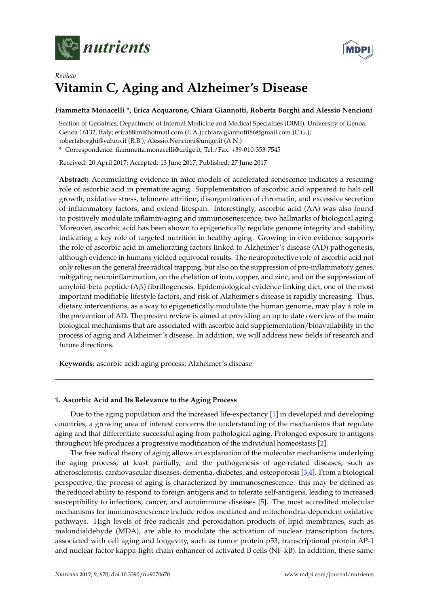



# *Review* **Vitamin C, Aging and Alzheimer's Disease**

# **Fiammetta Monacelli \*, Erica Acquarone, Chiara Giannotti, Roberta Borghi and Alessio Nencioni**

Section of Geriatrics, Department of Internal Medicine and Medical Specialties (DIMI), University of Genoa, Genoa 16132, Italy; erica88im@hotmail.com (E.A.); chiara.giannotti86@gmail.com (C.G.); robertaborghi@yahoo.it (R.B.); Alessio.Nencioni@unige.it (A.N.)

**\*** Correspondence: fiammetta.monacelli@unige.it; Tel./Fax: +39-010-353-7545

Received: 20 April 2017; Accepted: 13 June 2017; Published: 27 June 2017

**Abstract:** Accumulating evidence in mice models of accelerated senescence indicates a rescuing role of ascorbic acid in premature aging. Supplementation of ascorbic acid appeared to halt cell growth, oxidative stress, telomere attrition, disorganization of chromatin, and excessive secretion of inflammatory factors, and extend lifespan. Interestingly, ascorbic acid (AA) was also found to positively modulate inflamm-aging and immunosenescence, two hallmarks of biological aging. Moreover, ascorbic acid has been shown to epigenetically regulate genome integrity and stability, indicating a key role of targeted nutrition in healthy aging. Growing in vivo evidence supports the role of ascorbic acid in ameliorating factors linked to Alzheimer's disease (AD) pathogenesis, although evidence in humans yielded equivocal results. The neuroprotective role of ascorbic acid not only relies on the general free radical trapping, but also on the suppression of pro-inflammatory genes, mitigating neuroinflammation, on the chelation of iron, copper, and zinc, and on the suppression of amyloid-beta peptide (Aβ) fibrillogenesis. Epidemiological evidence linking diet, one of the most important modifiable lifestyle factors, and risk of Alzheimer's disease is rapidly increasing. Thus, dietary interventions, as a way to epigenetically modulate the human genome, may play a role in the prevention of AD. The present review is aimed at providing an up to date overview of the main biological mechanisms that are associated with ascorbic acid supplementation/bioavailability in the process of aging and Alzheimer's disease. In addition, we will address new fields of research and future directions.

**Keywords:** ascorbic acid; aging process; Alzheimer's disease

# **1. Ascorbic Acid and Its Relevance to the Aging Process**

Due to the aging population and the increased life-expectancy [\[1\]](#page-17-0) in developed and developing countries, a growing area of interest concerns the understanding of the mechanisms that regulate aging and that differentiate successful aging from pathological aging. Prolonged exposure to antigens throughout life produces a progressive modification of the individual homeostasis [\[2\]](#page-17-1).

The free radical theory of aging allows an explanation of the molecular mechanisms underlying the aging process, at least partially, and the pathogenesis of age-related diseases, such as atherosclerosis, cardiovascular diseases, dementia, diabetes, and osteoporosis [\[3](#page-17-2)[,4\]](#page-17-3). From a biological perspective, the process of aging is characterized by immunosenescence: this may be defined as the reduced ability to respond to foreign antigens and to tolerate self-antigens, leading to increased susceptibility to infections, cancer, and autoimmune diseases [\[5\]](#page-17-4). The most accredited molecular mechanisms for immunosenescence include redox-mediated and mitochondria-dependent oxidative pathways. High levels of free radicals and peroxidation products of lipid membranes, such as malondialdehyde (MDA), are able to modulate the activation of nuclear transcription factors, associated with cell aging and longevity, such as tumor protein p53, transcriptional protein AP-1 and nuclear factor kappa-light-chain-enhancer of activated B cells (NF-kB). In addition, these same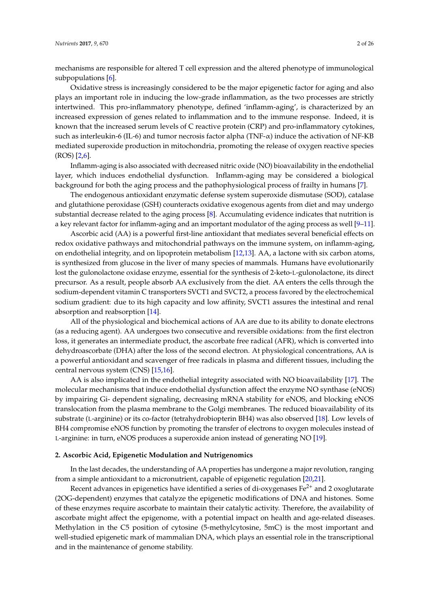mechanisms are responsible for altered T cell expression and the altered phenotype of immunological subpopulations [\[6\]](#page-17-5).

Oxidative stress is increasingly considered to be the major epigenetic factor for aging and also plays an important role in inducing the low-grade inflammation, as the two processes are strictly intertwined. This pro-inflammatory phenotype, defined 'inflamm-aging', is characterized by an increased expression of genes related to inflammation and to the immune response. Indeed, it is known that the increased serum levels of C reactive protein (CRP) and pro-inflammatory cytokines, such as interleukin-6 (IL-6) and tumor necrosis factor alpha (TNF-α) induce the activation of NF-KB mediated superoxide production in mitochondria, promoting the release of oxygen reactive species  $(ROS)$  [\[2](#page-17-1)[,6\]](#page-17-5).

Inflamm-aging is also associated with decreased nitric oxide (NO) bioavailability in the endothelial layer, which induces endothelial dysfunction. Inflamm-aging may be considered a biological background for both the aging process and the pathophysiological process of frailty in humans [\[7\]](#page-17-6).

The endogenous antioxidant enzymatic defense system superoxide dismutase (SOD), catalase and glutathione peroxidase (GSH) counteracts oxidative exogenous agents from diet and may undergo substantial decrease related to the aging process [\[8\]](#page-17-7). Accumulating evidence indicates that nutrition is a key relevant factor for inflamm-aging and an important modulator of the aging process as well [\[9–](#page-17-8)[11\]](#page-18-0).

Ascorbic acid (AA) is a powerful first-line antioxidant that mediates several beneficial effects on redox oxidative pathways and mitochondrial pathways on the immune system, on inflamm-aging, on endothelial integrity, and on lipoprotein metabolism [\[12](#page-18-1)[,13\]](#page-18-2). AA, a lactone with six carbon atoms, is synthesized from glucose in the liver of many species of mammals. Humans have evolutionarily lost the gulonolactone oxidase enzyme, essential for the synthesis of 2-keto-L-gulonolactone, its direct precursor. As a result, people absorb AA exclusively from the diet. AA enters the cells through the sodium-dependent vitamin C transporters SVCT1 and SVCT2, a process favored by the electrochemical sodium gradient: due to its high capacity and low affinity, SVCT1 assures the intestinal and renal absorption and reabsorption [\[14\]](#page-18-3).

All of the physiological and biochemical actions of AA are due to its ability to donate electrons (as a reducing agent). AA undergoes two consecutive and reversible oxidations: from the first electron loss, it generates an intermediate product, the ascorbate free radical (AFR), which is converted into dehydroascorbate (DHA) after the loss of the second electron. At physiological concentrations, AA is a powerful antioxidant and scavenger of free radicals in plasma and different tissues, including the central nervous system (CNS) [\[15,](#page-18-4)[16\]](#page-18-5).

AA is also implicated in the endothelial integrity associated with NO bioavailability [\[17\]](#page-18-6). The molecular mechanisms that induce endothelial dysfunction affect the enzyme NO synthase (eNOS) by impairing Gi- dependent signaling, decreasing mRNA stability for eNOS, and blocking eNOS translocation from the plasma membrane to the Golgi membranes. The reduced bioavailability of its substrate (L-arginine) or its co-factor (tetrahydrobiopterin BH4) was also observed [\[18\]](#page-18-7). Low levels of BH4 compromise eNOS function by promoting the transfer of electrons to oxygen molecules instead of L-arginine: in turn, eNOS produces a superoxide anion instead of generating NO [\[19\]](#page-18-8).

### **2. Ascorbic Acid, Epigenetic Modulation and Nutrigenomics**

In the last decades, the understanding of AA properties has undergone a major revolution, ranging from a simple antioxidant to a micronutrient, capable of epigenetic regulation [\[20,](#page-18-9)[21\]](#page-18-10).

Recent advances in epigenetics have identified a series of di-oxygenases  $Fe<sup>2+</sup>$  and 2 oxoglutarate (2OG-dependent) enzymes that catalyze the epigenetic modifications of DNA and histones. Some of these enzymes require ascorbate to maintain their catalytic activity. Therefore, the availability of ascorbate might affect the epigenome, with a potential impact on health and age-related diseases. Methylation in the C5 position of cytosine (5-methylcytosine, 5mC) is the most important and well-studied epigenetic mark of mammalian DNA, which plays an essential role in the transcriptional and in the maintenance of genome stability.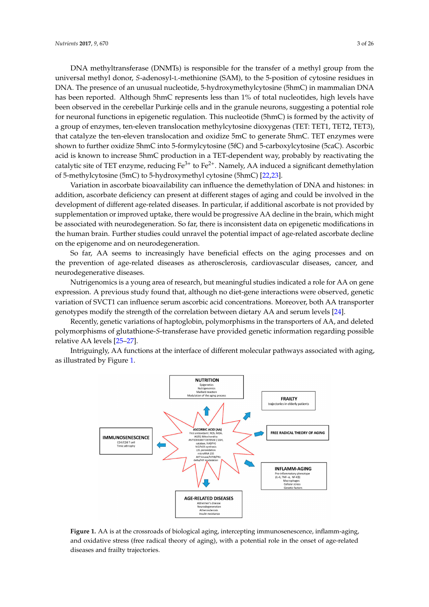DNA methyltransferase (DNMTs) is responsible for the transfer of a methyl group from the universal methyl donor, *S*-adenosyl-L-methionine (SAM), to the 5-position of cytosine residues in DNA. The presence of an unusual nucleotide, 5-hydroxymethylcytosine (5hmC) in mammalian DNA has been reported. Although 5hmC represents less than 1% of total nucleotides, high levels have been observed in the cerebellar Purkinje cells and in the granule neurons, suggesting a potential role For experiment in the cercle char Funnary cents and in the grandic neurons, *suggeoning* a potential reset for neuronal functions in epigenetic regulation. This nucleotide (5hmC) is formed by the activity of a group of enzymes, ten-eleven translocation methylcytosine dioxygenas (TET: TET1, TET2, TET3), that catalyze the ten-eleven translocation and oxidize 5mC to generate 5hmC. TET enzymes were shown to further oxidize 5hmC into 5-formylcytosine (5fC) and 5-carboxylcytosine (5caC). Ascorbic acid is known to increase 5hmC production in a TET-dependent way, probably by reactivating the catalytic site of TET enzyme, reducing Fe<sup>3+</sup> to Fe<sup>2+</sup>. Namely, AA induced a significant demethylation of 5-methylcytosine (5mC) to 5-hydroxymethyl cytosine (5hmC) [\[22,](#page-18-11)[23\]](#page-18-12). and an unclided in epigeneile regulation. This nucleotide (5nmC) is formed by the acti  $\frac{1}{2}$ cache acid is known to increase  $\frac{1}{2}$ 

Variation in ascorbate bioavailability can influence the demethylation of DNA and histones: in addition, ascorbate deficiency can present at different stages of aging and could be involved in the development of different age-related diseases. In particular, if additional ascorbate is not provided by supplementation or improved uptake, there would be progressive AA decline in the brain, which might be associated with neurodegeneration. So far, there is inconsistent data on epigenetic modifications in the human brain. Further studies could unravel the potential impact of age-related ascorbate decline on the epigenome and on neurodegeneration.  $\frac{1}{\sqrt{2}}$  . So far, there is inconsistent data on the product data on epigenetic data on epigenetic data on epige

So far, AA seems to increasingly have beneficial effects on the aging processes and on the prevention of age-related diseases as atherosclerosis, cardiovascular diseases, cancer, and neurodegenerative diseases.  $\overline{\phantom{a}}$ 

Nutrigenomics is a young area of research, but meaningful studies indicated a role for AA on gene expression. A previous study found that, although no diet-gene interactions were observed, genetic variation of SVCT1 can influence serum ascorbic acid concentrations. Moreover, both AA transporter genotypes modify the strength of the correlation between dietary AA and serum levels [\[24\]](#page-18-13). genotypes modify the strength of the correlation between dietary AA and serum levels [24]. variation of SVCT1 can influence serum ascorbic acid concentrations. Moreover, both AA transporter

Recently, genetic variations of haptoglobin, polymorphisms in the transporters of AA, and deleted Recently, genetic variations of haptoglobin, polymorphisms in the transporters of AA, and polymorphisms of glutathione-*S*-transferase have provided genetic information regarding possible relative AA levels [25–27]. possible relati[ve A](#page-18-14)[A le](#page-18-15)vels [25–27].

<span id="page-2-0"></span>Intriguingly, AA functions at the interface of different molecular pathways associated with aging, Intriguingly, AA functions at the interface of different molecular pathways associated with as illustrated by Figure [1.](#page-2-0)



**Figure 1.** AA is at the crossroads of biological aging, intercepting immunosenescence, inflamm-aging, and oxidative stress (free radical theory of aging), with a potential role in the onset of age-related diseases and frailty trajectories.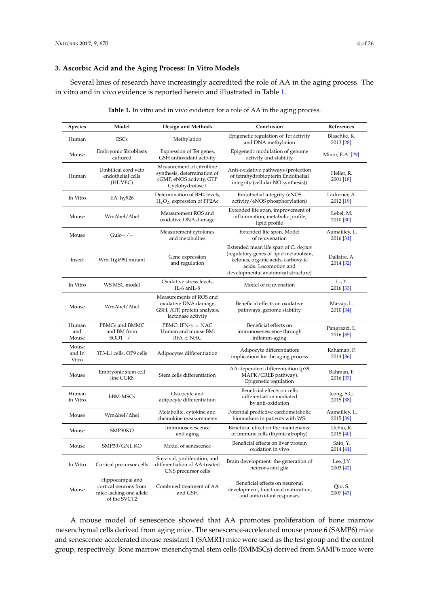# **3. Ascorbic Acid and the Aging Process: In Vitro Models**

Several lines of research have increasingly accredited the role of AA in the aging process. The in vitro and in vivo evidence is reported herein and illustrated in Table [1.](#page-3-0)

<span id="page-3-0"></span>

| Species                  | Model                                                                               | Design and Methods                                                                                       | Conclusion                                                                                                                                                                            | References                 |
|--------------------------|-------------------------------------------------------------------------------------|----------------------------------------------------------------------------------------------------------|---------------------------------------------------------------------------------------------------------------------------------------------------------------------------------------|----------------------------|
| Human                    | <b>ESCs</b>                                                                         | Methylation                                                                                              | Epigenetic regulation of Tet activity<br>and DNA methylation                                                                                                                          | Blaschke, K.<br>2013 [28]  |
| Mouse                    | Embryonic fibroblasts<br>cultured                                                   | Expression of Tet genes,<br>GSH antioxidant activity                                                     | Epigenetic modulation of genome<br>activity and stability                                                                                                                             | Minor, E.A. [29]           |
| Human                    | Umbilical cord vein<br>endothelial cells<br>(HUVEC)                                 | Measurement of citrulline<br>synthesis, determination of<br>cGMP, eNOS activity, GTP<br>Cyclohydrolase I | Anti-oxidative pathways (protection<br>of tetrahydrobiopterin Endothelial<br>integrity (cellular NO synthesis))                                                                       | Heller, R.<br>2001 [18]    |
| In Vitro                 | EA. hy926                                                                           | Determination of BH4 levels,<br>$H_2O_2$ , expression of PP2Ac                                           | Endothelial integrity (eNOS<br>activity/eNOS phosphorylation)                                                                                                                         | Ladurner, A.<br>2012 [19]  |
| Mouse                    | Wrn∆hel/∆hel                                                                        | Measurement ROS and<br>oxidative DNA damage                                                              | Extended life span, improvement of<br>inflammation, metabolic profile,<br>lipid profile                                                                                               | Lebel, M.<br>2010 [30]     |
| Mouse                    | $Gulo-/-$                                                                           | Measurement cytokines<br>and metabolites                                                                 | Extended life span. Model<br>of rejuvenation                                                                                                                                          | Aumailley, L.<br>2016 [31] |
| Insect                   | Wrn-1(gk99) mutant                                                                  | Gene expression<br>and regulation                                                                        | Extended mean life span of C. elegans<br>(regulatory genes of lipid metabolism,<br>ketones, organic acids, carboxylic<br>acids. Locomotion and<br>developmental anatomical structure) | Dallaire, A.<br>2014 [32]  |
| In Vitro                 | WS MSC model                                                                        | Oxidative stress levels,<br>IL-6 anIL-8                                                                  | Model of rejuvenation                                                                                                                                                                 | Li, Y.<br>2016 [33]        |
| Mouse                    | Wrn∆hel/∆hel                                                                        | Measurements of ROS and<br>oxidative DNA damage,<br>GSH, ATP, protein analysis,<br>lactonase activity    | Beneficial effects on oxidative<br>pathways, genome stability                                                                                                                         | Massip, L.<br>2010 [34]    |
| Human<br>and<br>Mouse    | PBMCs and BMMC<br>and BM from<br>$SOD1-/-$                                          | PBMC: IFN- $\gamma \pm$ NAC<br>Human and mouse BM:<br>$BFA \pm NAC$                                      | Beneficial effects on<br>immunosenescence through<br>inflamm-aging                                                                                                                    | Pangrazzi, L.<br>2016 [35] |
| Mouse<br>and In<br>Vitro | 3T3-L1 cells, OP9 cells                                                             | Adipocytes differentiation                                                                               | Adipocyte differentiation:<br>implications for the aging process                                                                                                                      | Rahaman, F.<br>2014 [36]   |
| Mouse                    | Embryonic stem cell<br>line CGR8                                                    | Stem cells differentiation                                                                               | AA-dependent differentiation (p38<br>MAPK/CREB pathway).<br>Epigenetic regulation                                                                                                     | Rahman, F.<br>2016 [37]    |
| Human<br>In Vitro        | hBM-MSCs                                                                            | Osteocyte and<br>adipocyte differentiation                                                               | Beneficial effects on cells<br>differentiation mediated<br>by anti-oxidation                                                                                                          | Jeong, S.G.<br>2015 [38]   |
| Mouse                    | Wrn∆hel/∆hel                                                                        | Metabolite, cytokine and<br>chemokine measurements                                                       | Potential predictive cardiometabolic<br>biomarkers in patients with WS.                                                                                                               | Aumailley, L.<br>2015 [39] |
| Mouse                    | SMP30KO                                                                             | Immunosenescence<br>and aging                                                                            | Beneficial effect on the maintenance<br>of immune cells (thymic atrophy)                                                                                                              | Uchio, R.<br>2015 [40]     |
| Mouse                    | SMP30/GNL KO                                                                        | Model of senescence                                                                                      | Beneficial effects on liver protein<br>oxidation in vivo                                                                                                                              | Sato, Y.<br>2014 [41]      |
| In Vitro                 | Cortical precursor cells                                                            | Survival, proliferation, and<br>differentiation of AA-treated<br>CNS precursor cells                     | Brain development: the generation of<br>neurons and glia                                                                                                                              | Lee, J.Y.<br>2003 [42]     |
| Mouse                    | Hippocampal and<br>cortical neurons from<br>mice lacking one allele<br>of the SVCT2 | Combined treatment of AA<br>and GSH                                                                      | Beneficial effects on neuronal<br>development, functional maturation,<br>and antioxidant responses                                                                                    | Qiu, S.<br>2007 [43]       |

**Table 1.** In vitro and in vivo evidence for a role of AA in the aging process.

A mouse model of senescence showed that AA promotes proliferation of bone marrow mesenchymal cells derived from aging mice. The senescence-accelerated mouse prone 6 (SAMP6) mice and senescence-accelerated mouse resistant 1 (SAMR1) mice were used as the test group and the control group, respectively. Bone marrow mesenchymal stem cells (BMMSCs) derived from SAMP6 mice were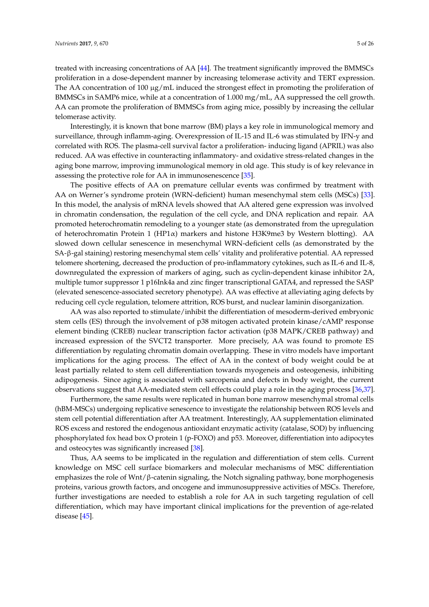treated with increasing concentrations of AA [\[44\]](#page-19-13). The treatment significantly improved the BMMSCs proliferation in a dose-dependent manner by increasing telomerase activity and TERT expression. The AA concentration of 100  $\mu$ g/mL induced the strongest effect in promoting the proliferation of

BMMSCs in SAMP6 mice, while at a concentration of 1.000 mg/mL, AA suppressed the cell growth. AA can promote the proliferation of BMMSCs from aging mice, possibly by increasing the cellular telomerase activity.

Interestingly, it is known that bone marrow (BM) plays a key role in immunological memory and surveillance, through inflamm-aging. Overexpression of IL-15 and IL-6 was stimulated by IFN-y and correlated with ROS. The plasma-cell survival factor a proliferation- inducing ligand (APRIL) was also reduced. AA was effective in counteracting inflammatory- and oxidative stress-related changes in the aging bone marrow, improving immunological memory in old age. This study is of key relevance in assessing the protective role for AA in immunosenescence [\[35\]](#page-19-4).

The positive effects of AA on premature cellular events was confirmed by treatment with AA on Werner's syndrome protein (WRN-deficient) human mesenchymal stem cells (MSCs) [\[33\]](#page-19-2). In this model, the analysis of mRNA levels showed that AA altered gene expression was involved in chromatin condensation, the regulation of the cell cycle, and DNA replication and repair. AA promoted heterochromatin remodeling to a younger state (as demonstrated from the upregulation of heterochromatin Protein 1 (HP1α) markers and histone H3K9me3 by Western blotting). AA slowed down cellular senescence in mesenchymal WRN-deficient cells (as demonstrated by the SA-β-gal staining) restoring mesenchymal stem cells' vitality and proliferative potential. AA repressed telomere shortening, decreased the production of pro-inflammatory cytokines, such as IL-6 and IL-8, downregulated the expression of markers of aging, such as cyclin-dependent kinase inhibitor 2A, multiple tumor suppressor 1 p16Ink4a and zinc finger transcriptional GATA4, and repressed the SASP (elevated senescence-associated secretory phenotype). AA was effective at alleviating aging defects by reducing cell cycle regulation, telomere attrition, ROS burst, and nuclear laminin disorganization.

AA was also reported to stimulate/inhibit the differentiation of mesoderm-derived embryonic stem cells (ES) through the involvement of p38 mitogen activated protein kinase/cAMP response element binding (CREB) nuclear transcription factor activation (p38 MAPK/CREB pathway) and increased expression of the SVCT2 transporter. More precisely, AA was found to promote ES differentiation by regulating chromatin domain overlapping. These in vitro models have important implications for the aging process. The effect of AA in the context of body weight could be at least partially related to stem cell differentiation towards myogeneis and osteogenesis, inhibiting adipogenesis. Since aging is associated with sarcopenia and defects in body weight, the current observations suggest that AA-mediated stem cell effects could play a role in the aging process [\[36](#page-19-5)[,37\]](#page-19-6).

Furthermore, the same results were replicated in human bone marrow mesenchymal stromal cells (hBM-MSCs) undergoing replicative senescence to investigate the relationship between ROS levels and stem cell potential differentiation after AA treatment. Interestingly, AA supplementation eliminated ROS excess and restored the endogenous antioxidant enzymatic activity (catalase, SOD) by influencing phosphorylated fox head box O protein 1 (p-FOXO) and p53. Moreover, differentiation into adipocytes and osteocytes was significantly increased [\[38\]](#page-19-7).

Thus, AA seems to be implicated in the regulation and differentiation of stem cells. Current knowledge on MSC cell surface biomarkers and molecular mechanisms of MSC differentiation emphasizes the role of  $Wnt/\beta$ -catenin signaling, the Notch signaling pathway, bone morphogenesis proteins, various growth factors, and oncogene and immunosuppressive activities of MSCs. Therefore, further investigations are needed to establish a role for AA in such targeting regulation of cell differentiation, which may have important clinical implications for the prevention of age-related disease [\[45\]](#page-19-14).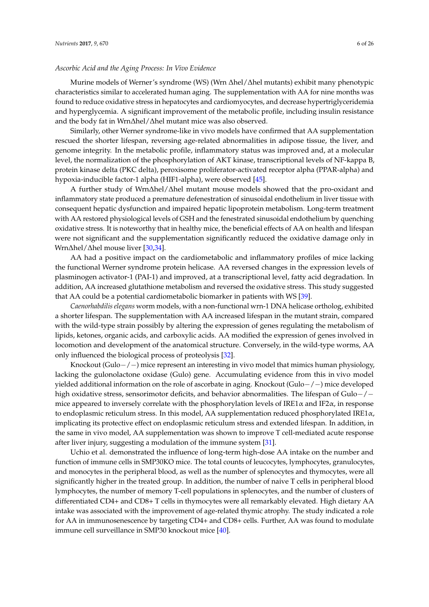### *Ascorbic Acid and the Aging Process: In Vivo Evidence*

Murine models of Werner's syndrome (WS) (Wrn ∆hel/∆hel mutants) exhibit many phenotypic characteristics similar to accelerated human aging. The supplementation with AA for nine months was found to reduce oxidative stress in hepatocytes and cardiomyocytes, and decrease hypertriglyceridemia and hyperglycemia. A significant improvement of the metabolic profile, including insulin resistance and the body fat in Wrn∆hel/∆hel mutant mice was also observed.

Similarly, other Werner syndrome-like in vivo models have confirmed that AA supplementation rescued the shorter lifespan, reversing age-related abnormalities in adipose tissue, the liver, and genome integrity. In the metabolic profile, inflammatory status was improved and, at a molecular level, the normalization of the phosphorylation of AKT kinase, transcriptional levels of NF-kappa B, protein kinase delta (PKC delta), peroxisome proliferator-activated receptor alpha (PPAR-alpha) and hypoxia-inducible factor-1 alpha (HIF1-alpha), were observed [\[45\]](#page-19-14).

A further study of Wrn∆hel/∆hel mutant mouse models showed that the pro-oxidant and inflammatory state produced a premature defenestration of sinusoidal endothelium in liver tissue with consequent hepatic dysfunction and impaired hepatic lipoprotein metabolism. Long-term treatment with AA restored physiological levels of GSH and the fenestrated sinusoidal endothelium by quenching oxidative stress. It is noteworthy that in healthy mice, the beneficial effects of AA on health and lifespan were not significant and the supplementation significantly reduced the oxidative damage only in Wrn∆hel/∆hel mouse liver [\[30,](#page-18-18)[34\]](#page-19-3).

AA had a positive impact on the cardiometabolic and inflammatory profiles of mice lacking the functional Werner syndrome protein helicase. AA reversed changes in the expression levels of plasminogen activator-1 (PAI-1) and improved, at a transcriptional level, fatty acid degradation. In addition, AA increased glutathione metabolism and reversed the oxidative stress. This study suggested that AA could be a potential cardiometabolic biomarker in patients with WS [\[39\]](#page-19-8).

*Caenorhabdilis elegans* worm models, with a non-functional wrn-1 DNA helicase ortholog, exhibited a shorter lifespan. The supplementation with AA increased lifespan in the mutant strain, compared with the wild-type strain possibly by altering the expression of genes regulating the metabolism of lipids, ketones, organic acids, and carboxylic acids. AA modified the expression of genes involved in locomotion and development of the anatomical structure. Conversely, in the wild-type worms, AA only influenced the biological process of proteolysis [\[32\]](#page-19-1).

Knockout (Gulo−/−) mice represent an interesting in vivo model that mimics human physiology, lacking the gulonolactone oxidase (Gulo) gene. Accumulating evidence from this in vivo model yielded additional information on the role of ascorbate in aging. Knockout (Gulo−/−) mice developed high oxidative stress, sensorimotor deficits, and behavior abnormalities. The lifespan of Gulo−/− mice appeared to inversely correlate with the phosphorylation levels of IRE1 $\alpha$  and IF2 $\alpha$ , in response to endoplasmic reticulum stress. In this model, AA supplementation reduced phosphorylated IRE1α, implicating its protective effect on endoplasmic reticulum stress and extended lifespan. In addition, in the same in vivo model, AA supplementation was shown to improve T cell-mediated acute response after liver injury, suggesting a modulation of the immune system [\[31\]](#page-19-0).

Uchio et al. demonstrated the influence of long-term high-dose AA intake on the number and function of immune cells in SMP30KO mice. The total counts of leucocytes, lymphocytes, granulocytes, and monocytes in the peripheral blood, as well as the number of splenocytes and thymocytes, were all significantly higher in the treated group. In addition, the number of naive T cells in peripheral blood lymphocytes, the number of memory T-cell populations in splenocytes, and the number of clusters of differentiated CD4+ and CD8+ T cells in thymocytes were all remarkably elevated. High dietary AA intake was associated with the improvement of age-related thymic atrophy. The study indicated a role for AA in immunosenescence by targeting CD4+ and CD8+ cells. Further, AA was found to modulate immune cell surveillance in SMP30 knockout mice [\[40\]](#page-19-9).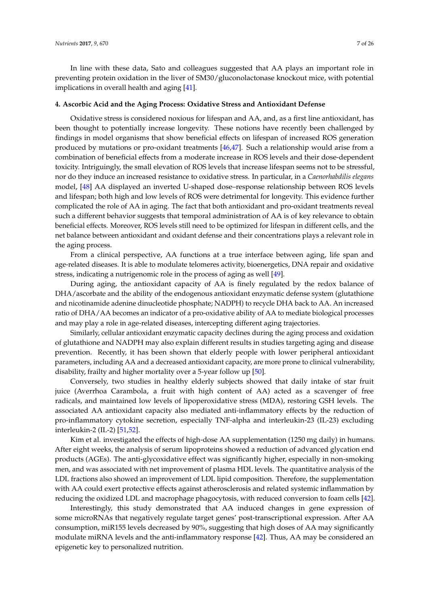In line with these data, Sato and colleagues suggested that AA plays an important role in preventing protein oxidation in the liver of SM30/gluconolactonase knockout mice, with potential implications in overall health and aging [\[41\]](#page-19-10).

### **4. Ascorbic Acid and the Aging Process: Oxidative Stress and Antioxidant Defense**

Oxidative stress is considered noxious for lifespan and AA, and, as a first line antioxidant, has been thought to potentially increase longevity. These notions have recently been challenged by findings in model organisms that show beneficial effects on lifespan of increased ROS generation produced by mutations or pro-oxidant treatments [\[46](#page-19-15)[,47\]](#page-19-16). Such a relationship would arise from a combination of beneficial effects from a moderate increase in ROS levels and their dose-dependent toxicity. Intriguingly, the small elevation of ROS levels that increase lifespan seems not to be stressful, nor do they induce an increased resistance to oxidative stress. In particular, in a *Caenorhabdilis elegans* model, [\[48\]](#page-19-17) AA displayed an inverted U-shaped dose–response relationship between ROS levels and lifespan; both high and low levels of ROS were detrimental for longevity. This evidence further complicated the role of AA in aging. The fact that both antioxidant and pro-oxidant treatments reveal such a different behavior suggests that temporal administration of AA is of key relevance to obtain beneficial effects. Moreover, ROS levels still need to be optimized for lifespan in different cells, and the net balance between antioxidant and oxidant defense and their concentrations plays a relevant role in the aging process.

From a clinical perspective, AA functions at a true interface between aging, life span and age-related diseases. It is able to modulate telomeres activity, bioenergetics, DNA repair and oxidative stress, indicating a nutrigenomic role in the process of aging as well [\[49\]](#page-19-18).

During aging, the antioxidant capacity of AA is finely regulated by the redox balance of DHA/ascorbate and the ability of the endogenous antioxidant enzymatic defense system (glutathione and nicotinamide adenine dinucleotide phosphate; NADPH) to recycle DHA back to AA. An increased ratio of DHA/AA becomes an indicator of a pro-oxidative ability of AA to mediate biological processes and may play a role in age-related diseases, intercepting different aging trajectories.

Similarly, cellular antioxidant enzymatic capacity declines during the aging process and oxidation of glutathione and NADPH may also explain different results in studies targeting aging and disease prevention. Recently, it has been shown that elderly people with lower peripheral antioxidant parameters, including AA and a decreased antioxidant capacity, are more prone to clinical vulnerability, disability, frailty and higher mortality over a 5-year follow up [\[50\]](#page-20-0).

Conversely, two studies in healthy elderly subjects showed that daily intake of star fruit juice (Averrhoa Carambola, a fruit with high content of AA) acted as a scavenger of free radicals, and maintained low levels of lipoperoxidative stress (MDA), restoring GSH levels. The associated AA antioxidant capacity also mediated anti-inflammatory effects by the reduction of pro-inflammatory cytokine secretion, especially TNF-alpha and interleukin-23 (IL-23) excluding interleukin-2 (IL-2) [\[51,](#page-20-1)[52\]](#page-20-2).

Kim et al. investigated the effects of high-dose AA supplementation (1250 mg daily) in humans. After eight weeks, the analysis of serum lipoproteins showed a reduction of advanced glycation end products (AGEs). The anti-glycoxidative effect was significantly higher, especially in non-smoking men, and was associated with net improvement of plasma HDL levels. The quantitative analysis of the LDL fractions also showed an improvement of LDL lipid composition. Therefore, the supplementation with AA could exert protective effects against atherosclerosis and related systemic inflammation by reducing the oxidized LDL and macrophage phagocytosis, with reduced conversion to foam cells [\[42\]](#page-19-11).

Interestingly, this study demonstrated that AA induced changes in gene expression of some microRNAs that negatively regulate target genes' post-transcriptional expression. After AA consumption, miR155 levels decreased by 90%, suggesting that high doses of AA may significantly modulate miRNA levels and the anti-inflammatory response [\[42\]](#page-19-11). Thus, AA may be considered an epigenetic key to personalized nutrition.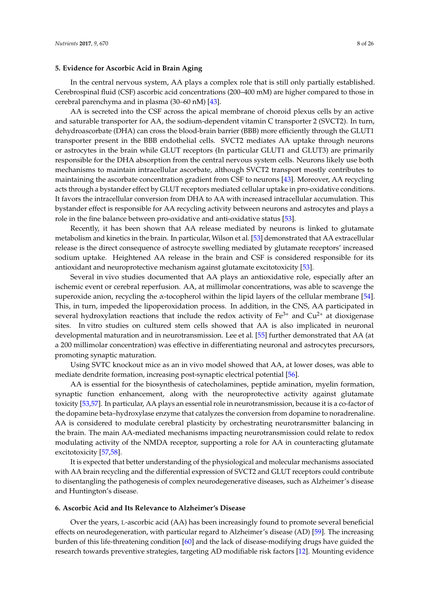### **5. Evidence for Ascorbic Acid in Brain Aging**

In the central nervous system, AA plays a complex role that is still only partially established. Cerebrospinal fluid (CSF) ascorbic acid concentrations (200–400 mM) are higher compared to those in cerebral parenchyma and in plasma (30–60 nM) [\[43\]](#page-19-12).

AA is secreted into the CSF across the apical membrane of choroid plexus cells by an active and saturable transporter for AA, the sodium-dependent vitamin C transporter 2 (SVCT2). In turn, dehydroascorbate (DHA) can cross the blood-brain barrier (BBB) more efficiently through the GLUT1 transporter present in the BBB endothelial cells. SVCT2 mediates AA uptake through neurons or astrocytes in the brain while GLUT receptors (In particular GLUT1 and GLUT3) are primarily responsible for the DHA absorption from the central nervous system cells. Neurons likely use both mechanisms to maintain intracellular ascorbate, although SVCT2 transport mostly contributes to maintaining the ascorbate concentration gradient from CSF to neurons [\[43\]](#page-19-12). Moreover, AA recycling acts through a bystander effect by GLUT receptors mediated cellular uptake in pro-oxidative conditions. It favors the intracellular conversion from DHA to AA with increased intracellular accumulation. This bystander effect is responsible for AA recycling activity between neurons and astrocytes and plays a role in the fine balance between pro-oxidative and anti-oxidative status [\[53\]](#page-20-3).

Recently, it has been shown that AA release mediated by neurons is linked to glutamate metabolism and kinetics in the brain. In particular, Wilson et al. [\[53\]](#page-20-3) demonstrated that AA extracellular release is the direct consequence of astrocyte swelling mediated by glutamate receptors' increased sodium uptake. Heightened AA release in the brain and CSF is considered responsible for its antioxidant and neuroprotective mechanism against glutamate excitotoxicity [\[53\]](#page-20-3).

Several in vivo studies documented that AA plays an antioxidative role, especially after an ischemic event or cerebral reperfusion. AA, at millimolar concentrations, was able to scavenge the superoxide anion, recycling the  $\alpha$ -tocopherol within the lipid layers of the cellular membrane [\[54\]](#page-20-4). This, in turn, impeded the lipoperoxidation process. In addition, in the CNS, AA participated in several hydroxylation reactions that include the redox activity of  $Fe<sup>3+</sup>$  and  $Cu<sup>2+</sup>$  at dioxigenase sites. In vitro studies on cultured stem cells showed that AA is also implicated in neuronal developmental maturation and in neurotransmission. Lee et al. [\[55\]](#page-20-5) further demonstrated that AA (at a 200 millimolar concentration) was effective in differentiating neuronal and astrocytes precursors, promoting synaptic maturation.

Using SVTC knockout mice as an in vivo model showed that AA, at lower doses, was able to mediate dendrite formation, increasing post-synaptic electrical potential [\[56\]](#page-20-6).

AA is essential for the biosynthesis of catecholamines, peptide amination, myelin formation, synaptic function enhancement, along with the neuroprotective activity against glutamate toxicity [\[53](#page-20-3)[,57\]](#page-20-7). In particular, AA plays an essential role in neurotransmission, because it is a co-factor of the dopamine beta–hydroxylase enzyme that catalyzes the conversion from dopamine to noradrenaline. AA is considered to modulate cerebral plasticity by orchestrating neurotransmitter balancing in the brain. The main AA-mediated mechanisms impacting neurotransmission could relate to redox modulating activity of the NMDA receptor, supporting a role for AA in counteracting glutamate excitotoxicity [\[57,](#page-20-7)[58\]](#page-20-8).

It is expected that better understanding of the physiological and molecular mechanisms associated with AA brain recycling and the differential expression of SVCT2 and GLUT receptors could contribute to disentangling the pathogenesis of complex neurodegenerative diseases, such as Alzheimer's disease and Huntington's disease.

### **6. Ascorbic Acid and Its Relevance to Alzheimer's Disease**

Over the years, L-ascorbic acid (AA) has been increasingly found to promote several beneficial effects on neurodegeneration, with particular regard to Alzheimer's disease (AD) [\[59\]](#page-20-9). The increasing burden of this life-threatening condition [\[60\]](#page-20-10) and the lack of disease-modifying drugs have guided the research towards preventive strategies, targeting AD modifiable risk factors [\[12\]](#page-18-1). Mounting evidence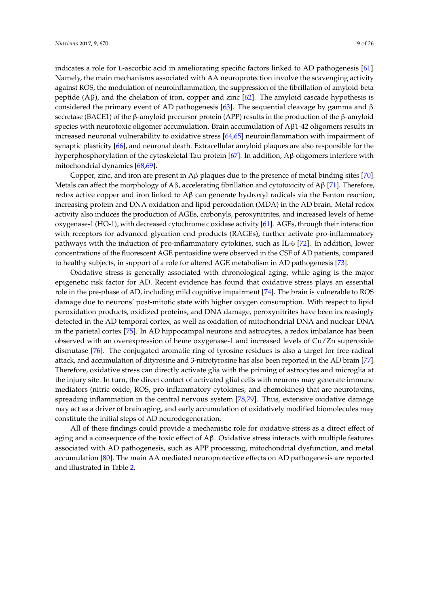secretase (BACE1) of the β-amyloid precursor protein (APP) results in the production of the β-amyloid species with neurotoxic oligomer accumulation. Brain accumulation of Aβ1-42 oligomers results in increased neuronal vulnerability to oxidative stress [\[64](#page-20-14)[,65\]](#page-20-15) neuroinflammation with impairment of synaptic plasticity [\[66\]](#page-20-16), and neuronal death. Extracellular amyloid plaques are also responsible for the hyperphosphorylation of the cytoskeletal Tau protein [\[67\]](#page-20-17). In addition, Aβ oligomers interfere with mitochondrial dynamics [\[68,](#page-20-18)[69\]](#page-21-0).

Copper, zinc, and iron are present in  $A\beta$  plaques due to the presence of metal binding sites [\[70\]](#page-21-1). Metals can affect the morphology of  $Aβ$ , accelerating fibrillation and cytotoxicity of  $Aβ$  [\[71\]](#page-21-2). Therefore, redox active copper and iron linked to  $\beta$  can generate hydroxyl radicals via the Fenton reaction, increasing protein and DNA oxidation and lipid peroxidation (MDA) in the AD brain. Metal redox activity also induces the production of AGEs, carbonyls, peroxynitrites, and increased levels of heme oxygenase-1 (HO-1), with decreased cytochrome c oxidase activity [\[61\]](#page-20-11). AGEs, through their interaction with receptors for advanced glycation end products (RAGEs), further activate pro-inflammatory pathways with the induction of pro-inflammatory cytokines, such as IL-6 [\[72\]](#page-21-3). In addition, lower concentrations of the fluorescent AGE pentosidine were observed in the CSF of AD patients, compared to healthy subjects, in support of a role for altered AGE metabolism in AD pathogenesis [\[73\]](#page-21-4).

Oxidative stress is generally associated with chronological aging, while aging is the major epigenetic risk factor for AD. Recent evidence has found that oxidative stress plays an essential role in the pre-phase of AD, including mild cognitive impairment [\[74\]](#page-21-5). The brain is vulnerable to ROS damage due to neurons' post-mitotic state with higher oxygen consumption. With respect to lipid peroxidation products, oxidized proteins, and DNA damage, peroxynitrites have been increasingly detected in the AD temporal cortex, as well as oxidation of mitochondrial DNA and nuclear DNA in the parietal cortex [\[75\]](#page-21-6). In AD hippocampal neurons and astrocytes, a redox imbalance has been observed with an overexpression of heme oxygenase-1 and increased levels of Cu/Zn superoxide dismutase [\[76\]](#page-21-7). The conjugated aromatic ring of tyrosine residues is also a target for free-radical attack, and accumulation of dityrosine and 3-nitrotyrosine has also been reported in the AD brain [\[77\]](#page-21-8). Therefore, oxidative stress can directly activate glia with the priming of astrocytes and microglia at the injury site. In turn, the direct contact of activated glial cells with neurons may generate immune mediators (nitric oxide, ROS, pro-inflammatory cytokines, and chemokines) that are neurotoxins, spreading inflammation in the central nervous system [\[78,](#page-21-9)[79\]](#page-21-10). Thus, extensive oxidative damage may act as a driver of brain aging, and early accumulation of oxidatively modified biomolecules may constitute the initial steps of AD neurodegeneration.

All of these findings could provide a mechanistic role for oxidative stress as a direct effect of aging and a consequence of the toxic effect of Aβ. Oxidative stress interacts with multiple features associated with AD pathogenesis, such as APP processing, mitochondrial dysfunction, and metal accumulation [\[80\]](#page-21-11). The main AA mediated neuroprotective effects on AD pathogenesis are reported and illustrated in Table [2.](#page-10-0)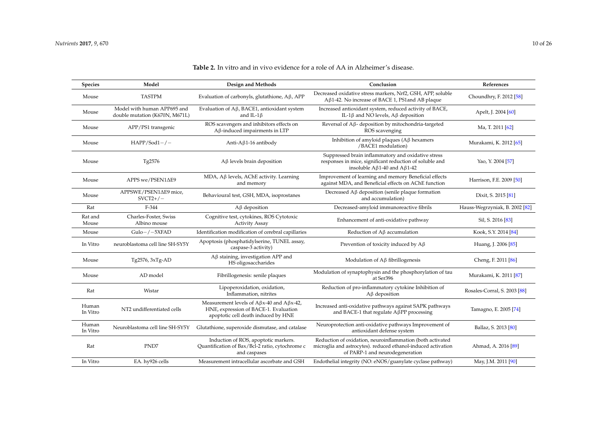| <b>Species</b>    | Model                                                         | Design and Methods                                                                                                                       | Conclusion                                                                                                                                                    | References                                |
|-------------------|---------------------------------------------------------------|------------------------------------------------------------------------------------------------------------------------------------------|---------------------------------------------------------------------------------------------------------------------------------------------------------------|-------------------------------------------|
| Mouse             | <b>TASTPM</b>                                                 | Evaluation of carbonyls, glutathione, Aβ, APP                                                                                            | Decreased oxidative stress markers, Nrf2, GSH, APP, soluble<br>Aβ1-42. No increase of BACE 1, PS1 and AB plaque                                               | Choundhry, F. 2012 [58]                   |
| Mouse             | Model with human APP695 and<br>double mutation (K670N, M671L) | Evaluation of $A\beta$ , BACE1, antioxidant system<br>and IL-1 $\beta$                                                                   | Increased antioxidant system, reduced activity of BACE,<br>IL-1β and NO levels, $A\beta$ deposition                                                           | Apelt, J. 2004 [60]                       |
| Mouse             | APP/PS1 transgenic                                            | ROS scavengers and inhibitors effects on<br>$A\beta$ -induced impairments in LTP                                                         | Reversal of A <sub>B</sub> - deposition by mitochondria-targeted<br>ROS scavenging                                                                            | Ma, T. 2011 [62]                          |
| Mouse             | $HAPP/Sod1-/-$                                                | Anti-A $\beta$ 1-16 antibody                                                                                                             | Inhibition of amyloid plaques ( $A\beta$ hexamers<br>/BACE1 modulation)                                                                                       | Murakami, K. 2012 [65]                    |
| Mouse             | Tg2576                                                        | $A\beta$ levels brain deposition                                                                                                         | Suppressed brain inflammatory and oxidative stress<br>responses in mice, significant reduction of soluble and<br>insoluble $A\beta$ 1-40 and $A\beta$ 1-42    | Yao, Y. 2004 [57]                         |
| Mouse             | APPS we/PSEN1ΔE9                                              | MDA, Aβ levels, AChE activity. Learning<br>and memory                                                                                    | Improvement of learning and memory Beneficial effects<br>against MDA, and Beneficial effects on AChE function                                                 | Harrison, F.E. 2009 [50]                  |
| Mouse             | APPSWE/PSEN1ΔE9 mice,<br>$SVCT2+/-$                           | Behavioural test, GSH, MDA, isoprostanes                                                                                                 | Decreased $A\beta$ deposition (senile plaque formation<br>and accumulation)                                                                                   | Dixit, S. 2015 [81]                       |
| Rat               | F-344                                                         | $A\beta$ deposition                                                                                                                      | Decreased-amyloid immunoreactive fibrils                                                                                                                      | Hauss-Wegrzyniak, B. 2002 <sup>[82]</sup> |
| Rat and<br>Mouse  | Charles-Foster, Swiss<br>Albino mouse                         | Cognitive test, cytokines, ROS Cytotoxic<br><b>Activity Assay</b>                                                                        | Enhancement of anti-oxidative pathway                                                                                                                         | Sil, S. 2016 [83]                         |
| Mouse             | $Gulo-/-5XFAD$                                                | Identification modification of cerebral capillaries                                                                                      | Reduction of A <sub>B</sub> accumulation                                                                                                                      | Kook, S.Y. 2014 [84]                      |
| In Vitro          | neuroblastoma cell line SH-SY5Y                               | Apoptosis (phosphatidylserine, TUNEL assay,<br>caspase-3 activity)                                                                       | Prevention of toxicity induced by $A\beta$                                                                                                                    | Huang, J. 2006 [85]                       |
| Mouse             | Tg2576, 3xTg-AD                                               | $A\beta$ staining, investigation APP and<br>HS oligosaccharides                                                                          | Modulation of $A\beta$ fibrillogenesis                                                                                                                        | Cheng, F. 2011 [86]                       |
| Mouse             | AD model                                                      | Fibrillogenesis: senile plaques                                                                                                          | Modulation of synaptophysin and the phosphorylation of tau<br>at Ser396                                                                                       | Murakami, K. 2011 [87]                    |
| Rat               | Wistar                                                        | Lipoperoxidation, oxidation,<br>Inflammation, nitrites                                                                                   | Reduction of pro-inflammatory cytokine Inhibition of<br>$A\beta$ deposition                                                                                   | Rosales-Corral, S. 2003 [88]              |
| Human<br>In Vitro | NT2 undifferentiated cells                                    | Measurement levels of A $\beta$ x-40 and A $\beta$ x-42,<br>HNE, expression of BACE-1. Evaluation<br>apoptotic cell death induced by HNE | Increased anti-oxidative pathways against SAPK pathways<br>and BACE-1 that regulate $A\beta PP$ processing                                                    | Tamagno, E. 2005 [74]                     |
| Human<br>In Vitro | Neuroblastoma cell line SH-SY5Y                               | Glutathione, superoxide dismutase, and catalase                                                                                          | Neuroprotection anti-oxidative pathways Improvement of<br>antioxidant defense system                                                                          | Ballaz, S. 2013 [80]                      |
| Rat               | PND7                                                          | Induction of ROS, apoptotic markers.<br>Quantification of Bax/Bcl-2 ratio, cytochrome c<br>and caspases                                  | Reduction of oxidation, neuroinflammation (both activated<br>microglia and astrocytes). reduced ethanol-induced activation<br>of PARP-1 and neurodegeneration | Ahmad, A. 2016 <sup>[89]</sup>            |
| In Vitro          | EA. hy926 cells                                               | Measurement intracellular ascorbate and GSH                                                                                              | Endothelial integrity (NO: eNOS/guanylate cyclase pathway)                                                                                                    | May, J.M. 2011 [90]                       |

# **Table 2.** In vitro and in vivo evidence for a role of AA in Alzheimer's disease.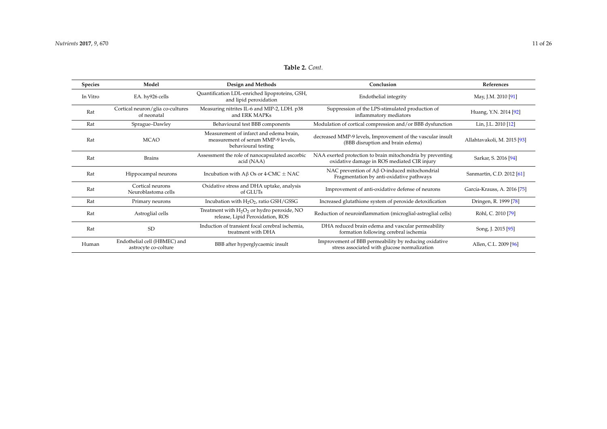# **Table 2.** *Cont.*

<span id="page-10-0"></span>

| <b>Species</b> | Model                                                | Design and Methods                                                                                   | Conclusion                                                                                                | References                  |
|----------------|------------------------------------------------------|------------------------------------------------------------------------------------------------------|-----------------------------------------------------------------------------------------------------------|-----------------------------|
| In Vitro       | EA. hy926 cells                                      | Quantification LDL-enriched lipoproteins, GSH,<br>and lipid peroxidation                             | Endothelial integrity                                                                                     | May, J.M. 2010 [91]         |
| Rat            | Cortical neuron/glia co-cultures<br>of neonatal      | Measuring nitrites IL-6 and MIP-2, LDH. p38<br>and ERK MAPKs                                         | Suppression of the LPS-stimulated production of<br>inflammatory mediators                                 | Huang, Y.N. 2014 [92]       |
| Rat            | Sprague-Dawley                                       | Behavioural test BBB components                                                                      | Modulation of cortical compression and/or BBB dysfunction                                                 | Lin, J.L. 2010 [12]         |
| Rat            | <b>MCAO</b>                                          | Measurement of infarct and edema brain,<br>measurement of serum MMP-9 levels,<br>behavioural testing | decreased MMP-9 levels, Improvement of the vascular insult<br>(BBB disruption and brain edema)            | Allahtavakoli, M. 2015 [93] |
| Rat            | <b>Brains</b>                                        | Assessment the role of nanocapsulated ascorbic<br>acid (NAA)                                         | NAA exerted protection to brain mitochondria by preventing<br>oxidative damage in ROS mediated CIR injury | Sarkar, S. 2016 [94]        |
| Rat            | Hippocampal neurons                                  | Incubation with $A\beta$ Os or 4-CMC $\pm$ NAC                                                       | NAC prevention of $A\beta$ O-induced mitochondrial<br>Fragmentation by anti-oxidative pathways            | Sanmartin, C.D. 2012 [61]   |
| Rat            | Cortical neurons<br>Neuroblastoma cells              | Oxidative stress and DHA uptake, analysis<br>of GLUTs                                                | Improvement of anti-oxidative defense of neurons                                                          | García-Krauss, A. 2016 [75] |
| Rat            | Primary neurons                                      | Incubation with $H_2O_2$ , ratio GSH/GSSG                                                            | Increased glutathione system of peroxide detoxification                                                   | Dringen, R. 1999 [78]       |
| Rat            | Astroglial cells                                     | Treatment with $H_2O_2$ or hydro peroxide, NO<br>release, Lipid Peroxidation, ROS                    | Reduction of neuroinflammation (microglial-astroglial cells)                                              | Röhl, C. 2010 [79]          |
| Rat            | <b>SD</b>                                            | Induction of transient focal cerebral ischemia,<br>treatment with DHA                                | DHA reduced brain edema and vascular permeability<br>formation following cerebral ischemia                | Song, J. 2015 [95]          |
| Human          | Endothelial cell (HBMEC) and<br>astrocyte co-colture | BBB after hyperglycaemic insult                                                                      | Improvement of BBB permeability by reducing oxidative<br>stress associated with glucose normalization     | Allen, C.L. 2009 [96]       |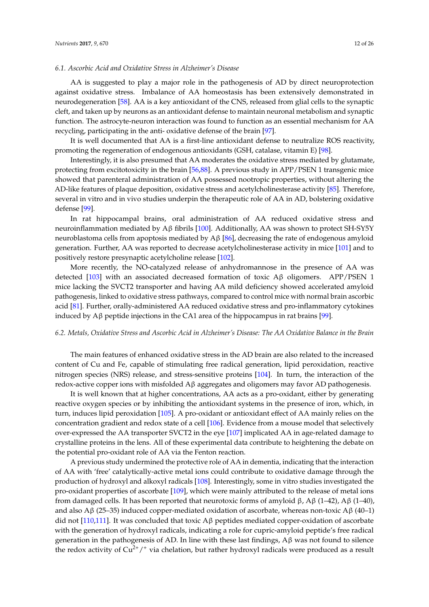### *6.1. Ascorbic Acid and Oxidative Stress in Alzheimer's Disease*

AA is suggested to play a major role in the pathogenesis of AD by direct neuroprotection against oxidative stress. Imbalance of AA homeostasis has been extensively demonstrated in neurodegeneration [\[58\]](#page-20-8). AA is a key antioxidant of the CNS, released from glial cells to the synaptic cleft, and taken up by neurons as an antioxidant defense to maintain neuronal metabolism and synaptic function. The astrocyte-neuron interaction was found to function as an essential mechanism for AA recycling, participating in the anti- oxidative defense of the brain [\[97\]](#page-22-8).

It is well documented that AA is a first-line antioxidant defense to neutralize ROS reactivity, promoting the regeneration of endogenous antioxidants (GSH, catalase, vitamin E) [\[98\]](#page-22-9).

Interestingly, it is also presumed that AA moderates the oxidative stress mediated by glutamate, protecting from excitotoxicity in the brain [\[56](#page-20-6)[,88\]](#page-21-24). A previous study in APP/PSEN 1 transgenic mice showed that parenteral administration of AA possessed nootropic properties, without altering the AD-like features of plaque deposition, oxidative stress and acetylcholinesterase activity [\[85\]](#page-21-25). Therefore, several in vitro and in vivo studies underpin the therapeutic role of AA in AD, bolstering oxidative defense [\[99\]](#page-22-10).

In rat hippocampal brains, oral administration of AA reduced oxidative stress and neuroinflammation mediated by  $\text{A} \beta$  fibrils [\[100\]](#page-22-11). Additionally, AA was shown to protect SH-SY5Y neuroblastoma cells from apoptosis mediated by Aβ [\[86\]](#page-21-26), decreasing the rate of endogenous amyloid generation. Further, AA was reported to decrease acetylcholinesterase activity in mice [\[101\]](#page-22-12) and to positively restore presynaptic acetylcholine release [\[102\]](#page-22-13).

More recently, the NO-catalyzed release of anhydromannose in the presence of AA was detected [\[103\]](#page-22-14) with an associated decreased formation of toxic  $A\beta$  oligomers. APP/PSEN 1 mice lacking the SVCT2 transporter and having AA mild deficiency showed accelerated amyloid pathogenesis, linked to oxidative stress pathways, compared to control mice with normal brain ascorbic acid [\[81\]](#page-21-27). Further, orally-administered AA reduced oxidative stress and pro-inflammatory cytokines induced by Aβ peptide injections in the CA1 area of the hippocampus in rat brains [\[99\]](#page-22-10).

#### *6.2. Metals, Oxidative Stress and Ascorbic Acid in Alzheimer's Disease: The AA Oxidative Balance in the Brain*

The main features of enhanced oxidative stress in the AD brain are also related to the increased content of Cu and Fe, capable of stimulating free radical generation, lipid peroxidation, reactive nitrogen species (NRS) release, and stress-sensitive proteins [\[104\]](#page-22-15). In turn, the interaction of the redox-active copper ions with misfolded  $A\beta$  aggregates and oligomers may favor AD pathogenesis.

It is well known that at higher concentrations, AA acts as a pro-oxidant, either by generating reactive oxygen species or by inhibiting the antioxidant systems in the presence of iron, which, in turn, induces lipid peroxidation [\[105\]](#page-22-16). A pro-oxidant or antioxidant effect of AA mainly relies on the concentration gradient and redox state of a cell [\[106\]](#page-22-17). Evidence from a mouse model that selectively over-expressed the AA transporter SVCT2 in the eye [\[107\]](#page-23-0) implicated AA in age-related damage to crystalline proteins in the lens. All of these experimental data contribute to heightening the debate on the potential pro-oxidant role of AA via the Fenton reaction.

A previous study undermined the protective role of AA in dementia, indicating that the interaction of AA with 'free' catalytically-active metal ions could contribute to oxidative damage through the production of hydroxyl and alkoxyl radicals [\[108\]](#page-23-1). Interestingly, some in vitro studies investigated the pro-oxidant properties of ascorbate [\[109\]](#page-23-2), which were mainly attributed to the release of metal ions from damaged cells. It has been reported that neurotoxic forms of amyloid β, Aβ (1–42), Aβ (1–40), and also Aβ (25–35) induced copper-mediated oxidation of ascorbate, whereas non-toxic Aβ (40–1) did not [\[110](#page-23-3)[,111\]](#page-23-4). It was concluded that toxic  $A\beta$  peptides mediated copper-oxidation of ascorbate with the generation of hydroxyl radicals, indicating a role for cupric-amyloid peptide's free radical generation in the pathogenesis of AD. In line with these last findings,  $\mathbf{A}\beta$  was not found to silence the redox activity of  $Cu^{2+}/$  via chelation, but rather hydroxyl radicals were produced as a result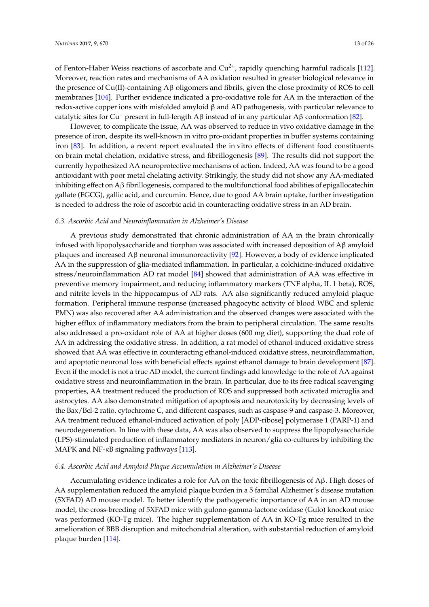of Fenton-Haber Weiss reactions of ascorbate and  $Cu^{2+}$ , rapidly quenching harmful radicals [\[112\]](#page-23-5). Moreover, reaction rates and mechanisms of AA oxidation resulted in greater biological relevance in the presence of Cu(II)-containing Aβ oligomers and fibrils, given the close proximity of ROS to cell membranes [\[104\]](#page-22-15). Further evidence indicated a pro-oxidative role for AA in the interaction of the redox-active copper ions with misfolded amyloid β and AD pathogenesis, with particular relevance to catalytic sites for Cu<sup>+</sup> present in full-length Aβ instead of in any particular Aβ conformation [\[82\]](#page-21-28).

However, to complicate the issue, AA was observed to reduce in vivo oxidative damage in the presence of iron, despite its well-known in vitro pro-oxidant properties in buffer systems containing iron [\[83\]](#page-21-29). In addition, a recent report evaluated the in vitro effects of different food constituents on brain metal chelation, oxidative stress, and fibrillogenesis [\[89\]](#page-22-18). The results did not support the currently hypothesized AA neuroprotective mechanisms of action. Indeed, AA was found to be a good antioxidant with poor metal chelating activity. Strikingly, the study did not show any AA-mediated inhibiting effect on Aβ fibrillogenesis, compared to the multifunctional food abilities of epigallocatechin gallate (EGCG), gallic acid, and curcumin. Hence, due to good AA brain uptake, further investigation is needed to address the role of ascorbic acid in counteracting oxidative stress in an AD brain.

#### *6.3. Ascorbic Acid and Neuroinflammation in Alzheimer's Disease*

A previous study demonstrated that chronic administration of AA in the brain chronically infused with lipopolysaccharide and tiorphan was associated with increased deposition of Aβ amyloid plaques and increased Aβ neuronal immunoreactivity [\[92\]](#page-22-19). However, a body of evidence implicated AA in the suppression of glia-mediated inflammation. In particular, a colchicine-induced oxidative stress/neuroinflammation AD rat model [\[84\]](#page-21-30) showed that administration of AA was effective in preventive memory impairment, and reducing inflammatory markers (TNF alpha, IL 1 beta), ROS, and nitrite levels in the hippocampus of AD rats. AA also significantly reduced amyloid plaque formation. Peripheral immune response (increased phagocytic activity of blood WBC and splenic PMN) was also recovered after AA administration and the observed changes were associated with the higher efflux of inflammatory mediators from the brain to peripheral circulation. The same results also addressed a pro-oxidant role of AA at higher doses (600 mg diet), supporting the dual role of AA in addressing the oxidative stress. In addition, a rat model of ethanol-induced oxidative stress showed that AA was effective in counteracting ethanol-induced oxidative stress, neuroinflammation, and apoptotic neuronal loss with beneficial effects against ethanol damage to brain development [\[87\]](#page-21-31). Even if the model is not a true AD model, the current findings add knowledge to the role of AA against oxidative stress and neuroinflammation in the brain. In particular, due to its free radical scavenging properties, AA treatment reduced the production of ROS and suppressed both activated microglia and astrocytes. AA also demonstrated mitigation of apoptosis and neurotoxicity by decreasing levels of the Bax/Bcl-2 ratio, cytochrome C, and different caspases, such as caspase-9 and caspase-3. Moreover, AA treatment reduced ethanol-induced activation of poly [ADP-ribose] polymerase 1 (PARP-1) and neurodegeneration. In line with these data, AA was also observed to suppress the lipopolysaccharide (LPS)-stimulated production of inflammatory mediators in neuron/glia co-cultures by inhibiting the MAPK and NF-κB signaling pathways [\[113\]](#page-23-6).

#### *6.4. Ascorbic Acid and Amyloid Plaque Accumulation in Alzheimer's Disease*

Accumulating evidence indicates a role for AA on the toxic fibrillogenesis of Aβ. High doses of AA supplementation reduced the amyloid plaque burden in a 5 familial Alzheimer's disease mutation (5XFAD) AD mouse model. To better identify the pathogenetic importance of AA in an AD mouse model, the cross-breeding of 5XFAD mice with gulono-gamma-lactone oxidase (Gulo) knockout mice was performed (KO-Tg mice). The higher supplementation of AA in KO-Tg mice resulted in the amelioration of BBB disruption and mitochondrial alteration, with substantial reduction of amyloid plaque burden [\[114\]](#page-23-7).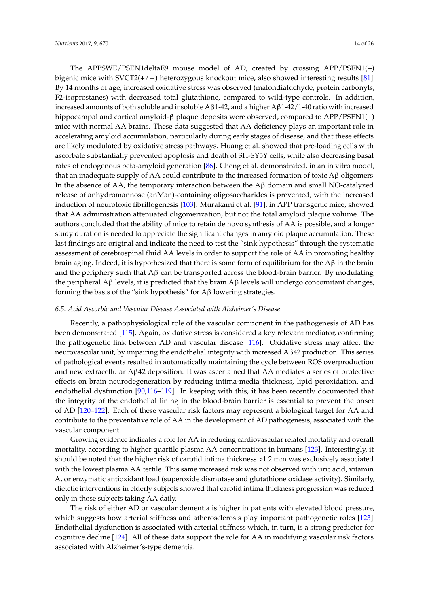The APPSWE/PSEN1deltaE9 mouse model of AD, created by crossing APP/PSEN1(+) bigenic mice with SVCT2(+/−) heterozygous knockout mice, also showed interesting results [\[81\]](#page-21-27). By 14 months of age, increased oxidative stress was observed (malondialdehyde, protein carbonyls, F2-isoprostanes) with decreased total glutathione, compared to wild-type controls. In addition, increased amounts of both soluble and insoluble A $\beta$ 1-42, and a higher A $\beta$ 1-42/1-40 ratio with increased hippocampal and cortical amyloid-β plaque deposits were observed, compared to APP/PSEN1(+) mice with normal AA brains. These data suggested that AA deficiency plays an important role in accelerating amyloid accumulation, particularly during early stages of disease, and that these effects are likely modulated by oxidative stress pathways. Huang et al. showed that pre-loading cells with ascorbate substantially prevented apoptosis and death of SH-SY5Y cells, while also decreasing basal rates of endogenous beta-amyloid generation [\[86\]](#page-21-26). Cheng et al. demonstrated, in an in vitro model, that an inadequate supply of AA could contribute to the increased formation of toxic  $\Lambda$ β oligomers. In the absence of AA, the temporary interaction between the  $\mathbf{A}\beta$  domain and small NO-catalyzed release of anhydromannose (anMan)-containing oligosaccharides is prevented, with the increased induction of neurotoxic fibrillogenesis [\[103\]](#page-22-14). Murakami et al. [\[91\]](#page-22-20), in APP transgenic mice, showed that AA administration attenuated oligomerization, but not the total amyloid plaque volume. The authors concluded that the ability of mice to retain de novo synthesis of AA is possible, and a longer study duration is needed to appreciate the significant changes in amyloid plaque accumulation. These last findings are original and indicate the need to test the "sink hypothesis" through the systematic assessment of cerebrospinal fluid AA levels in order to support the role of AA in promoting healthy brain aging. Indeed, it is hypothesized that there is some form of equilibrium for the  $A\beta$  in the brain and the periphery such that A $\beta$  can be transported across the blood-brain barrier. By modulating the peripheral  $\text{A}$ β levels, it is predicted that the brain  $\text{A}$ β levels will undergo concomitant changes, forming the basis of the "sink hypothesis" for Aβ lowering strategies.

#### *6.5. Acid Ascorbic and Vascular Disease Associated with Alzheimer's Disease*

Recently, a pathophysiological role of the vascular component in the pathogenesis of AD has been demonstrated [\[115\]](#page-23-8). Again, oxidative stress is considered a key relevant mediator, confirming the pathogenetic link between AD and vascular disease [\[116\]](#page-23-9). Oxidative stress may affect the neurovascular unit, by impairing the endothelial integrity with increased  $\text{A}β42$  production. This series of pathological events resulted in automatically maintaining the cycle between ROS overproduction and new extracellular Aβ42 deposition. It was ascertained that AA mediates a series of protective effects on brain neurodegeneration by reducing intima-media thickness, lipid peroxidation, and endothelial dysfunction [\[90,](#page-22-21)[116–](#page-23-9)[119\]](#page-23-10). In keeping with this, it has been recently documented that the integrity of the endothelial lining in the blood-brain barrier is essential to prevent the onset of AD [\[120–](#page-23-11)[122\]](#page-23-12). Each of these vascular risk factors may represent a biological target for AA and contribute to the preventative role of AA in the development of AD pathogenesis, associated with the vascular component.

Growing evidence indicates a role for AA in reducing cardiovascular related mortality and overall mortality, according to higher quartile plasma AA concentrations in humans [\[123\]](#page-23-13). Interestingly, it should be noted that the higher risk of carotid intima thickness >1.2 mm was exclusively associated with the lowest plasma AA tertile. This same increased risk was not observed with uric acid, vitamin A, or enzymatic antioxidant load (superoxide dismutase and glutathione oxidase activity). Similarly, dietetic interventions in elderly subjects showed that carotid intima thickness progression was reduced only in those subjects taking AA daily.

The risk of either AD or vascular dementia is higher in patients with elevated blood pressure, which suggests how arterial stiffness and atherosclerosis play important pathogenetic roles [\[123\]](#page-23-13). Endothelial dysfunction is associated with arterial stiffness which, in turn, is a strong predictor for cognitive decline [\[124\]](#page-23-14). All of these data support the role for AA in modifying vascular risk factors associated with Alzheimer's-type dementia.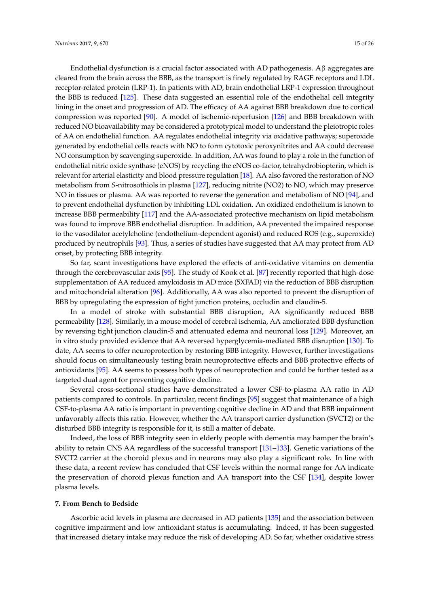Endothelial dysfunction is a crucial factor associated with AD pathogenesis. Aβ aggregates are cleared from the brain across the BBB, as the transport is finely regulated by RAGE receptors and LDL receptor-related protein (LRP-1). In patients with AD, brain endothelial LRP-1 expression throughout the BBB is reduced [\[125\]](#page-23-15). These data suggested an essential role of the endothelial cell integrity lining in the onset and progression of AD. The efficacy of AA against BBB breakdown due to cortical compression was reported [\[90\]](#page-22-21). A model of ischemic-reperfusion [\[126\]](#page-24-0) and BBB breakdown with reduced NO bioavailability may be considered a prototypical model to understand the pleiotropic roles of AA on endothelial function. AA regulates endothelial integrity via oxidative pathways; superoxide generated by endothelial cells reacts with NO to form cytotoxic peroxynitrites and AA could decrease NO consumption by scavenging superoxide. In addition, AA was found to play a role in the function of endothelial nitric oxide synthase (eNOS) by recycling the eNOS co-factor, tetrahydrobiopterin, which is relevant for arterial elasticity and blood pressure regulation [\[18\]](#page-18-7). AA also favored the restoration of NO metabolism from *S*-nitrosothiols in plasma [\[127\]](#page-24-1), reducing nitrite (NO2) to NO, which may preserve NO in tissues or plasma. AA was reported to reverse the generation and metabolism of NO [\[94\]](#page-22-22), and to prevent endothelial dysfunction by inhibiting LDL oxidation. An oxidized endothelium is known to increase BBB permeability [\[117\]](#page-23-16) and the AA-associated protective mechanism on lipid metabolism was found to improve BBB endothelial disruption. In addition, AA prevented the impaired response to the vasodilator acetylcholine (endothelium-dependent agonist) and reduced ROS (e.g., superoxide) produced by neutrophils [\[93\]](#page-22-23). Thus, a series of studies have suggested that AA may protect from AD onset, by protecting BBB integrity.

So far, scant investigations have explored the effects of anti-oxidative vitamins on dementia through the cerebrovascular axis [\[95\]](#page-22-24). The study of Kook et al. [\[87\]](#page-21-31) recently reported that high-dose supplementation of AA reduced amyloidosis in AD mice (5XFAD) via the reduction of BBB disruption and mitochondrial alteration [\[96\]](#page-22-25). Additionally, AA was also reported to prevent the disruption of BBB by upregulating the expression of tight junction proteins, occludin and claudin-5.

In a model of stroke with substantial BBB disruption, AA significantly reduced BBB permeability [\[128\]](#page-24-2). Similarly, in a mouse model of cerebral ischemia, AA ameliorated BBB dysfunction by reversing tight junction claudin-5 and attenuated edema and neuronal loss [\[129\]](#page-24-3). Moreover, an in vitro study provided evidence that AA reversed hyperglycemia-mediated BBB disruption [\[130\]](#page-24-4). To date, AA seems to offer neuroprotection by restoring BBB integrity. However, further investigations should focus on simultaneously testing brain neuroprotective effects and BBB protective effects of antioxidants [\[95\]](#page-22-24). AA seems to possess both types of neuroprotection and could be further tested as a targeted dual agent for preventing cognitive decline.

Several cross-sectional studies have demonstrated a lower CSF-to-plasma AA ratio in AD patients compared to controls. In particular, recent findings [\[95\]](#page-22-24) suggest that maintenance of a high CSF-to-plasma AA ratio is important in preventing cognitive decline in AD and that BBB impairment unfavorably affects this ratio. However, whether the AA transport carrier dysfunction (SVCT2) or the disturbed BBB integrity is responsible for it, is still a matter of debate.

Indeed, the loss of BBB integrity seen in elderly people with dementia may hamper the brain's ability to retain CNS AA regardless of the successful transport [\[131–](#page-24-5)[133\]](#page-24-6). Genetic variations of the SVCT2 carrier at the choroid plexus and in neurons may also play a significant role. In line with these data, a recent review has concluded that CSF levels within the normal range for AA indicate the preservation of choroid plexus function and AA transport into the CSF [\[134\]](#page-24-7), despite lower plasma levels.

#### **7. From Bench to Bedside**

Ascorbic acid levels in plasma are decreased in AD patients [\[135\]](#page-24-8) and the association between cognitive impairment and low antioxidant status is accumulating. Indeed, it has been suggested that increased dietary intake may reduce the risk of developing AD. So far, whether oxidative stress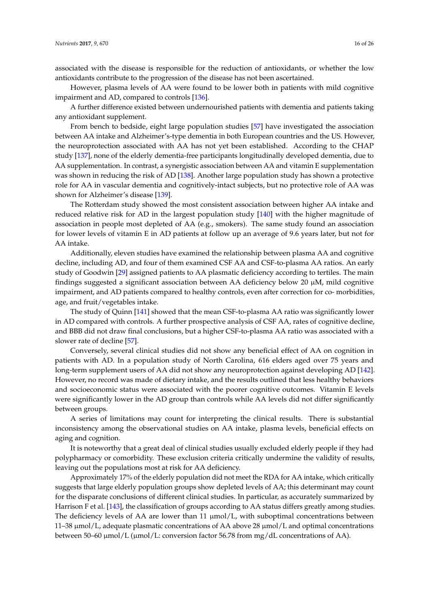associated with the disease is responsible for the reduction of antioxidants, or whether the low antioxidants contribute to the progression of the disease has not been ascertained.

However, plasma levels of AA were found to be lower both in patients with mild cognitive impairment and AD, compared to controls [\[136\]](#page-24-9).

A further difference existed between undernourished patients with dementia and patients taking any antioxidant supplement.

From bench to bedside, eight large population studies [\[57\]](#page-20-7) have investigated the association between AA intake and Alzheimer's-type dementia in both European countries and the US. However, the neuroprotection associated with AA has not yet been established. According to the CHAP study [\[137\]](#page-24-10), none of the elderly dementia-free participants longitudinally developed dementia, due to AA supplementation. In contrast, a synergistic association between AA and vitamin E supplementation was shown in reducing the risk of AD [\[138\]](#page-24-11). Another large population study has shown a protective role for AA in vascular dementia and cognitively-intact subjects, but no protective role of AA was shown for Alzheimer's disease [\[139\]](#page-24-12).

The Rotterdam study showed the most consistent association between higher AA intake and reduced relative risk for AD in the largest population study [\[140\]](#page-24-13) with the higher magnitude of association in people most depleted of AA (e.g., smokers). The same study found an association for lower levels of vitamin E in AD patients at follow up an average of 9.6 years later, but not for AA intake.

Additionally, eleven studies have examined the relationship between plasma AA and cognitive decline, including AD, and four of them examined CSF AA and CSF-to-plasma AA ratios. An early study of Goodwin [\[29\]](#page-18-17) assigned patients to AA plasmatic deficiency according to tertiles. The main findings suggested a significant association between AA deficiency below 20 µM, mild cognitive impairment, and AD patients compared to healthy controls, even after correction for co- morbidities, age, and fruit/vegetables intake.

The study of Quinn [\[141\]](#page-24-14) showed that the mean CSF-to-plasma AA ratio was significantly lower in AD compared with controls. A further prospective analysis of CSF AA, rates of cognitive decline, and BBB did not draw final conclusions, but a higher CSF-to-plasma AA ratio was associated with a slower rate of decline [\[57\]](#page-20-7).

Conversely, several clinical studies did not show any beneficial effect of AA on cognition in patients with AD. In a population study of North Carolina, 616 elders aged over 75 years and long-term supplement users of AA did not show any neuroprotection against developing AD [\[142\]](#page-24-15). However, no record was made of dietary intake, and the results outlined that less healthy behaviors and socioeconomic status were associated with the poorer cognitive outcomes. Vitamin E levels were significantly lower in the AD group than controls while AA levels did not differ significantly between groups.

A series of limitations may count for interpreting the clinical results. There is substantial inconsistency among the observational studies on AA intake, plasma levels, beneficial effects on aging and cognition.

It is noteworthy that a great deal of clinical studies usually excluded elderly people if they had polypharmacy or comorbidity. These exclusion criteria critically undermine the validity of results, leaving out the populations most at risk for AA deficiency.

Approximately 17% of the elderly population did not meet the RDA for AA intake, which critically suggests that large elderly population groups show depleted levels of AA; this determinant may count for the disparate conclusions of different clinical studies. In particular, as accurately summarized by Harrison F et al. [\[143\]](#page-24-16), the classification of groups according to AA status differs greatly among studies. The deficiency levels of AA are lower than  $11 \mu \text{mol/L}$ , with suboptimal concentrations between 11–38 µmol/L, adequate plasmatic concentrations of AA above 28 µmol/L and optimal concentrations between 50–60  $\mu$ mol/L ( $\mu$ mol/L: conversion factor 56.78 from mg/dL concentrations of AA).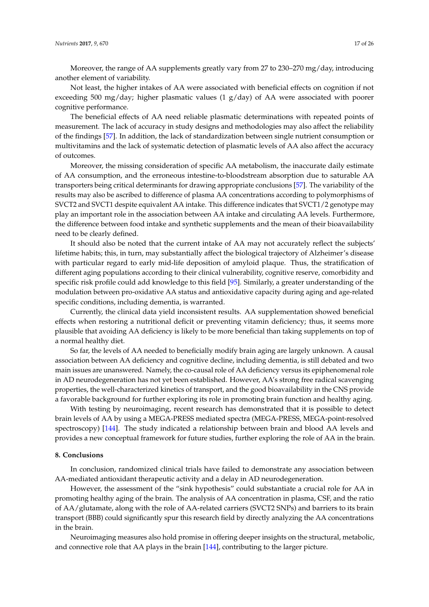*Nutrients* **2017**, *9*, 670 17 of 26

Moreover, the range of AA supplements greatly vary from 27 to 230–270 mg/day, introducing another element of variability.

Not least, the higher intakes of AA were associated with beneficial effects on cognition if not exceeding 500 mg/day; higher plasmatic values (1 g/day) of AA were associated with poorer cognitive performance.

The beneficial effects of AA need reliable plasmatic determinations with repeated points of measurement. The lack of accuracy in study designs and methodologies may also affect the reliability of the findings [\[57\]](#page-20-7). In addition, the lack of standardization between single nutrient consumption or multivitamins and the lack of systematic detection of plasmatic levels of AA also affect the accuracy of outcomes.

Moreover, the missing consideration of specific AA metabolism, the inaccurate daily estimate of AA consumption, and the erroneous intestine-to-bloodstream absorption due to saturable AA transporters being critical determinants for drawing appropriate conclusions [\[57\]](#page-20-7). The variability of the results may also be ascribed to difference of plasma AA concentrations according to polymorphisms of SVCT2 and SVCT1 despite equivalent AA intake. This difference indicates that SVCT1/2 genotype may play an important role in the association between AA intake and circulating AA levels. Furthermore, the difference between food intake and synthetic supplements and the mean of their bioavailability need to be clearly defined.

It should also be noted that the current intake of AA may not accurately reflect the subjects' lifetime habits; this, in turn, may substantially affect the biological trajectory of Alzheimer's disease with particular regard to early mid-life deposition of amyloid plaque. Thus, the stratification of different aging populations according to their clinical vulnerability, cognitive reserve, comorbidity and specific risk profile could add knowledge to this field [\[95\]](#page-22-24). Similarly, a greater understanding of the modulation between pro-oxidative AA status and antioxidative capacity during aging and age-related specific conditions, including dementia, is warranted.

Currently, the clinical data yield inconsistent results. AA supplementation showed beneficial effects when restoring a nutritional deficit or preventing vitamin deficiency; thus, it seems more plausible that avoiding AA deficiency is likely to be more beneficial than taking supplements on top of a normal healthy diet.

So far, the levels of AA needed to beneficially modify brain aging are largely unknown. A causal association between AA deficiency and cognitive decline, including dementia, is still debated and two main issues are unanswered. Namely, the co-causal role of AA deficiency versus its epiphenomenal role in AD neurodegeneration has not yet been established. However, AA's strong free radical scavenging properties, the well-characterized kinetics of transport, and the good bioavailability in the CNS provide a favorable background for further exploring its role in promoting brain function and healthy aging.

With testing by neuroimaging, recent research has demonstrated that it is possible to detect brain levels of AA by using a MEGA-PRESS mediated spectra (MEGA-PRESS, MEGA-point-resolved spectroscopy) [\[144\]](#page-24-17). The study indicated a relationship between brain and blood AA levels and provides a new conceptual framework for future studies, further exploring the role of AA in the brain.

### **8. Conclusions**

In conclusion, randomized clinical trials have failed to demonstrate any association between AA-mediated antioxidant therapeutic activity and a delay in AD neurodegeneration.

However, the assessment of the "sink hypothesis" could substantiate a crucial role for AA in promoting healthy aging of the brain. The analysis of AA concentration in plasma, CSF, and the ratio of AA/glutamate, along with the role of AA-related carriers (SVCT2 SNPs) and barriers to its brain transport (BBB) could significantly spur this research field by directly analyzing the AA concentrations in the brain.

Neuroimaging measures also hold promise in offering deeper insights on the structural, metabolic, and connective role that AA plays in the brain [\[144\]](#page-24-17), contributing to the larger picture.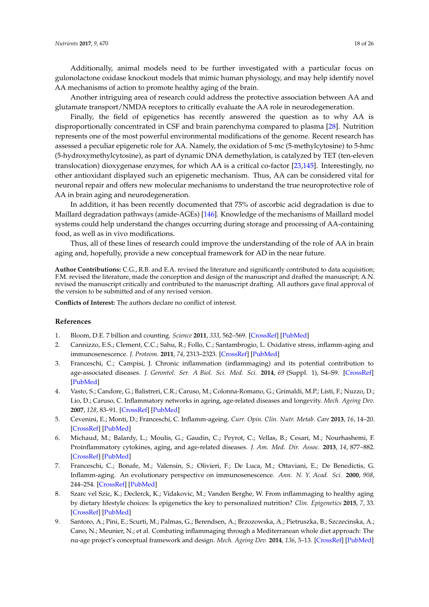Additionally, animal models need to be further investigated with a particular focus on gulonolactone oxidase knockout models that mimic human physiology, and may help identify novel AA mechanisms of action to promote healthy aging of the brain.

Another intriguing area of research could address the protective association between AA and glutamate transport/NMDA receptors to critically evaluate the AA role in neurodegeneration.

Finally, the field of epigenetics has recently answered the question as to why AA is disproportionally concentrated in CSF and brain parenchyma compared to plasma [\[28\]](#page-18-16). Nutrition represents one of the most powerful environmental modifications of the genome. Recent research has assessed a peculiar epigenetic role for AA. Namely, the oxidation of 5-mc (5-methylcytosine) to 5-hmc (5-hydroxymethylcytosine), as part of dynamic DNA demethylation, is catalyzed by TET (ten-eleven translocation) dioxygenase enzymes, for which AA is a critical co-factor [\[23,](#page-18-12)[145\]](#page-25-0). Interestingly, no other antioxidant displayed such an epigenetic mechanism. Thus, AA can be considered vital for neuronal repair and offers new molecular mechanisms to understand the true neuroprotective role of AA in brain aging and neurodegeneration.

In addition, it has been recently documented that 75% of ascorbic acid degradation is due to Maillard degradation pathways (amide-AGEs) [\[146\]](#page-25-1). Knowledge of the mechanisms of Maillard model systems could help understand the changes occurring during storage and processing of AA-containing food, as well as in vivo modifications.

Thus, all of these lines of research could improve the understanding of the role of AA in brain aging and, hopefully, provide a new conceptual framework for AD in the near future.

**Author Contributions:** C.G., R.B. and E.A. revised the literature and significantly contributed to data acquisition; F.M. revised the literature, made the conception and design of the manuscript and drafted the manuscript; A.N. revised the manuscript critically and contributed to the manuscript drafting. All authors gave final approval of the version to be submitted and of any revised version.

**Conflicts of Interest:** The authors declare no conflict of interest.

### **References**

- <span id="page-17-0"></span>1. Bloom, D.E. 7 billion and counting. *Science* **2011**, *333*, 562–569. [\[CrossRef\]](http://dx.doi.org/10.1126/science.1209290) [\[PubMed\]](http://www.ncbi.nlm.nih.gov/pubmed/21798935)
- <span id="page-17-1"></span>2. Cannizzo, E.S.; Clement, C.C.; Sahu, R.; Follo, C.; Santambrogio, L. Oxidative stress, inflamm-aging and immunosenescence. *J. Proteom.* **2011**, *74*, 2313–2323. [\[CrossRef\]](http://dx.doi.org/10.1016/j.jprot.2011.06.005) [\[PubMed\]](http://www.ncbi.nlm.nih.gov/pubmed/21718814)
- <span id="page-17-2"></span>3. Franceschi, C.; Campisi, J. Chronic inflammation (inflammaging) and its potential contribution to age-associated diseases. *J. Gerontol. Ser. A Biol. Sci. Med. Sci.* **2014**, *69* (Suppl. 1), S4–S9. [\[CrossRef\]](http://dx.doi.org/10.1093/gerona/glu057) [\[PubMed\]](http://www.ncbi.nlm.nih.gov/pubmed/24833586)
- <span id="page-17-3"></span>4. Vasto, S.; Candore, G.; Balistreri, C.R.; Caruso, M.; Colonna-Romano, G.; Grimaldi, M.P.; Listi, F.; Nuzzo, D.; Lio, D.; Caruso, C. Inflammatory networks in ageing, age-related diseases and longevity. *Mech. Ageing Dev.* **2007**, *128*, 83–91. [\[CrossRef\]](http://dx.doi.org/10.1016/j.mad.2006.11.015) [\[PubMed\]](http://www.ncbi.nlm.nih.gov/pubmed/17118425)
- <span id="page-17-4"></span>5. Cevenini, E.; Monti, D.; Franceschi, C. Inflamm-ageing. *Curr. Opin. Clin. Nutr. Metab. Care* **2013**, *16*, 14–20. [\[CrossRef\]](http://dx.doi.org/10.1097/MCO.0b013e32835ada13) [\[PubMed\]](http://www.ncbi.nlm.nih.gov/pubmed/23132168)
- <span id="page-17-5"></span>6. Michaud, M.; Balardy, L.; Moulis, G.; Gaudin, C.; Peyrot, C.; Vellas, B.; Cesari, M.; Nourhashemi, F. Proinflammatory cytokines, aging, and age-related diseases. *J. Am. Med. Dir. Assoc.* **2013**, *14*, 877–882. [\[CrossRef\]](http://dx.doi.org/10.1016/j.jamda.2013.05.009) [\[PubMed\]](http://www.ncbi.nlm.nih.gov/pubmed/23792036)
- <span id="page-17-6"></span>7. Franceschi, C.; Bonafe, M.; Valensin, S.; Olivieri, F.; De Luca, M.; Ottaviani, E.; De Benedictis, G. Inflamm-aging. An evolutionary perspective on immunosenescence. *Ann. N. Y. Acad. Sci.* **2000**, *908*, 244–254. [\[CrossRef\]](http://dx.doi.org/10.1111/j.1749-6632.2000.tb06651.x) [\[PubMed\]](http://www.ncbi.nlm.nih.gov/pubmed/10911963)
- <span id="page-17-7"></span>8. Szarc vel Szic, K.; Declerck, K.; Vidakovic, M.; Vanden Berghe, W. From inflammaging to healthy aging by dietary lifestyle choices: Is epigenetics the key to personalized nutrition? *Clin. Epigenetics* **2015**, *7*, 33. [\[CrossRef\]](http://dx.doi.org/10.1186/s13148-015-0068-2) [\[PubMed\]](http://www.ncbi.nlm.nih.gov/pubmed/25861393)
- <span id="page-17-8"></span>9. Santoro, A.; Pini, E.; Scurti, M.; Palmas, G.; Berendsen, A.; Brzozowska, A.; Pietruszka, B.; Szczecinska, A.; Cano, N.; Meunier, N.; et al. Combating inflammaging through a Mediterranean whole diet approach: The nu-age project's conceptual framework and design. *Mech. Ageing Dev.* **2014**, *136*, 3–13. [\[CrossRef\]](http://dx.doi.org/10.1016/j.mad.2013.12.001) [\[PubMed\]](http://www.ncbi.nlm.nih.gov/pubmed/24342354)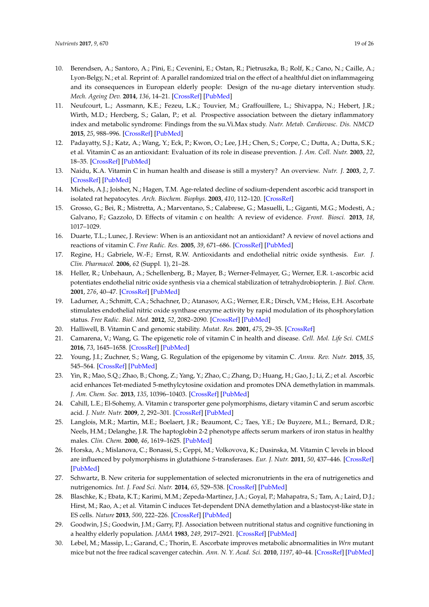- <span id="page-18-19"></span>10. Berendsen, A.; Santoro, A.; Pini, E.; Cevenini, E.; Ostan, R.; Pietruszka, B.; Rolf, K.; Cano, N.; Caille, A.; Lyon-Belgy, N.; et al. Reprint of: A parallel randomized trial on the effect of a healthful diet on inflammageing and its consequences in European elderly people: Design of the nu-age dietary intervention study. *Mech. Ageing Dev.* **2014**, *136*, 14–21. [\[CrossRef\]](http://dx.doi.org/10.1016/j.mad.2014.03.001) [\[PubMed\]](http://www.ncbi.nlm.nih.gov/pubmed/24657127)
- <span id="page-18-0"></span>11. Neufcourt, L.; Assmann, K.E.; Fezeu, L.K.; Touvier, M.; Graffouillere, L.; Shivappa, N.; Hebert, J.R.; Wirth, M.D.; Hercberg, S.; Galan, P.; et al. Prospective association between the dietary inflammatory index and metabolic syndrome: Findings from the su.Vi.Max study. *Nutr. Metab. Cardiovasc. Dis. NMCD* **2015**, *25*, 988–996. [\[CrossRef\]](http://dx.doi.org/10.1016/j.numecd.2015.09.002) [\[PubMed\]](http://www.ncbi.nlm.nih.gov/pubmed/26482566)
- <span id="page-18-1"></span>12. Padayatty, S.J.; Katz, A.; Wang, Y.; Eck, P.; Kwon, O.; Lee, J.H.; Chen, S.; Corpe, C.; Dutta, A.; Dutta, S.K.; et al. Vitamin C as an antioxidant: Evaluation of its role in disease prevention. *J. Am. Coll. Nutr.* **2003**, *22*, 18–35. [\[CrossRef\]](http://dx.doi.org/10.1080/07315724.2003.10719272) [\[PubMed\]](http://www.ncbi.nlm.nih.gov/pubmed/12569111)
- <span id="page-18-2"></span>13. Naidu, K.A. Vitamin C in human health and disease is still a mystery? An overview. *Nutr. J.* **2003**, *2*, 7. [\[CrossRef\]](http://dx.doi.org/10.1186/1475-2891-2-7) [\[PubMed\]](http://www.ncbi.nlm.nih.gov/pubmed/14498993)
- <span id="page-18-3"></span>14. Michels, A.J.; Joisher, N.; Hagen, T.M. Age-related decline of sodium-dependent ascorbic acid transport in isolated rat hepatocytes. *Arch. Biochem. Biophys.* **2003**, *410*, 112–120. [\[CrossRef\]](http://dx.doi.org/10.1016/S0003-9861(02)00678-1)
- <span id="page-18-4"></span>15. Grosso, G.; Bei, R.; Mistretta, A.; Marventano, S.; Calabrese, G.; Masuelli, L.; Giganti, M.G.; Modesti, A.; Galvano, F.; Gazzolo, D. Effects of vitamin c on health: A review of evidence. *Front. Biosci.* **2013**, *18*, 1017–1029.
- <span id="page-18-5"></span>16. Duarte, T.L.; Lunec, J. Review: When is an antioxidant not an antioxidant? A review of novel actions and reactions of vitamin C. *Free Radic. Res.* **2005**, *39*, 671–686. [\[CrossRef\]](http://dx.doi.org/10.1080/10715760500104025) [\[PubMed\]](http://www.ncbi.nlm.nih.gov/pubmed/16036346)
- <span id="page-18-6"></span>17. Regine, H.; Gabriele, W.-F.; Ernst, R.W. Antioxidants and endothelial nitric oxide synthesis. *Eur. J. Clin. Pharmacol.* **2006**, *62* (Suppl. 1), 21–28.
- <span id="page-18-7"></span>18. Heller, R.; Unbehaun, A.; Schellenberg, B.; Mayer, B.; Werner-Felmayer, G.; Werner, E.R. L-ascorbic acid potentiates endothelial nitric oxide synthesis via a chemical stabilization of tetrahydrobiopterin. *J. Biol. Chem.* **2001**, *276*, 40–47. [\[CrossRef\]](http://dx.doi.org/10.1074/jbc.M004392200) [\[PubMed\]](http://www.ncbi.nlm.nih.gov/pubmed/11022034)
- <span id="page-18-8"></span>19. Ladurner, A.; Schmitt, C.A.; Schachner, D.; Atanasov, A.G.; Werner, E.R.; Dirsch, V.M.; Heiss, E.H. Ascorbate stimulates endothelial nitric oxide synthase enzyme activity by rapid modulation of its phosphorylation status. *Free Radic. Biol. Med.* **2012**, *52*, 2082–2090. [\[CrossRef\]](http://dx.doi.org/10.1016/j.freeradbiomed.2012.03.022) [\[PubMed\]](http://www.ncbi.nlm.nih.gov/pubmed/22542797)
- <span id="page-18-9"></span>20. Halliwell, B. Vitamin C and genomic stability. *Mutat. Res.* **2001**, *475*, 29–35. [\[CrossRef\]](http://dx.doi.org/10.1016/S0027-5107(01)00072-0)
- <span id="page-18-10"></span>21. Camarena, V.; Wang, G. The epigenetic role of vitamin C in health and disease. *Cell. Mol. Life Sci. CMLS* **2016**, *73*, 1645–1658. [\[CrossRef\]](http://dx.doi.org/10.1007/s00018-016-2145-x) [\[PubMed\]](http://www.ncbi.nlm.nih.gov/pubmed/26846695)
- <span id="page-18-11"></span>22. Young, J.I.; Zuchner, S.; Wang, G. Regulation of the epigenome by vitamin C. *Annu. Rev. Nutr.* **2015**, *35*, 545–564. [\[CrossRef\]](http://dx.doi.org/10.1146/annurev-nutr-071714-034228) [\[PubMed\]](http://www.ncbi.nlm.nih.gov/pubmed/25974700)
- <span id="page-18-12"></span>23. Yin, R.; Mao, S.Q.; Zhao, B.; Chong, Z.; Yang, Y.; Zhao, C.; Zhang, D.; Huang, H.; Gao, J.; Li, Z.; et al. Ascorbic acid enhances Tet-mediated 5-methylcytosine oxidation and promotes DNA demethylation in mammals. *J. Am. Chem. Soc.* **2013**, *135*, 10396–10403. [\[CrossRef\]](http://dx.doi.org/10.1021/ja4028346) [\[PubMed\]](http://www.ncbi.nlm.nih.gov/pubmed/23768208)
- <span id="page-18-13"></span>24. Cahill, L.E.; El-Sohemy, A. Vitamin c transporter gene polymorphisms, dietary vitamin C and serum ascorbic acid. *J. Nutr. Nutr.* **2009**, *2*, 292–301. [\[CrossRef\]](http://dx.doi.org/10.1159/000314597) [\[PubMed\]](http://www.ncbi.nlm.nih.gov/pubmed/20588054)
- <span id="page-18-14"></span>25. Langlois, M.R.; Martin, M.E.; Boelaert, J.R.; Beaumont, C.; Taes, Y.E.; De Buyzere, M.L.; Bernard, D.R.; Neels, H.M.; Delanghe, J.R. The haptoglobin 2-2 phenotype affects serum markers of iron status in healthy males. *Clin. Chem.* **2000**, *46*, 1619–1625. [\[PubMed\]](http://www.ncbi.nlm.nih.gov/pubmed/11017940)
- 26. Horska, A.; Mislanova, C.; Bonassi, S.; Ceppi, M.; Volkovova, K.; Dusinska, M. Vitamin C levels in blood are influenced by polymorphisms in glutathione *S*-transferases. *Eur. J. Nutr.* **2011**, *50*, 437–446. [\[CrossRef\]](http://dx.doi.org/10.1007/s00394-010-0147-2) [\[PubMed\]](http://www.ncbi.nlm.nih.gov/pubmed/21152927)
- <span id="page-18-15"></span>27. Schwartz, B. New criteria for supplementation of selected micronutrients in the era of nutrigenetics and nutrigenomics. *Int. J. Food Sci. Nutr.* **2014**, *65*, 529–538. [\[CrossRef\]](http://dx.doi.org/10.3109/09637486.2014.898258) [\[PubMed\]](http://www.ncbi.nlm.nih.gov/pubmed/24625102)
- <span id="page-18-16"></span>28. Blaschke, K.; Ebata, K.T.; Karimi, M.M.; Zepeda-Martinez, J.A.; Goyal, P.; Mahapatra, S.; Tam, A.; Laird, D.J.; Hirst, M.; Rao, A.; et al. Vitamin C induces Tet-dependent DNA demethylation and a blastocyst-like state in ES cells. *Nature* **2013**, *500*, 222–226. [\[CrossRef\]](http://dx.doi.org/10.1038/nature12362) [\[PubMed\]](http://www.ncbi.nlm.nih.gov/pubmed/23812591)
- <span id="page-18-17"></span>29. Goodwin, J.S.; Goodwin, J.M.; Garry, P.J. Association between nutritional status and cognitive functioning in a healthy elderly population. *JAMA* **1983**, *249*, 2917–2921. [\[CrossRef\]](http://dx.doi.org/10.1001/jama.1983.03330450047024) [\[PubMed\]](http://www.ncbi.nlm.nih.gov/pubmed/6842805)
- <span id="page-18-18"></span>30. Lebel, M.; Massip, L.; Garand, C.; Thorin, E. Ascorbate improves metabolic abnormalities in *Wrn* mutant mice but not the free radical scavenger catechin. *Ann. N. Y. Acad. Sci.* **2010**, *1197*, 40–44. [\[CrossRef\]](http://dx.doi.org/10.1111/j.1749-6632.2010.05189.x) [\[PubMed\]](http://www.ncbi.nlm.nih.gov/pubmed/20536831)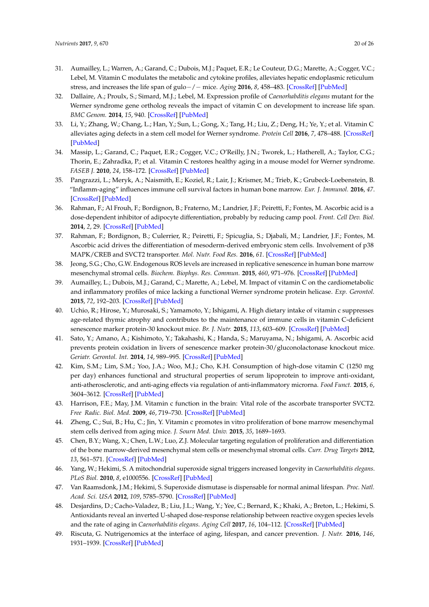- <span id="page-19-0"></span>31. Aumailley, L.; Warren, A.; Garand, C.; Dubois, M.J.; Paquet, E.R.; Le Couteur, D.G.; Marette, A.; Cogger, V.C.; Lebel, M. Vitamin C modulates the metabolic and cytokine profiles, alleviates hepatic endoplasmic reticulum stress, and increases the life span of gulo−/− mice. *Aging* **2016**, *8*, 458–483. [\[CrossRef\]](http://dx.doi.org/10.18632/aging.100902) [\[PubMed\]](http://www.ncbi.nlm.nih.gov/pubmed/26922388)
- <span id="page-19-1"></span>32. Dallaire, A.; Proulx, S.; Simard, M.J.; Lebel, M. Expression profile of *Caenorhabditis elegans* mutant for the Werner syndrome gene ortholog reveals the impact of vitamin C on development to increase life span. *BMC Genom.* **2014**, *15*, 940. [\[CrossRef\]](http://dx.doi.org/10.1186/1471-2164-15-940) [\[PubMed\]](http://www.ncbi.nlm.nih.gov/pubmed/25346348)
- <span id="page-19-2"></span>33. Li, Y.; Zhang, W.; Chang, L.; Han, Y.; Sun, L.; Gong, X.; Tang, H.; Liu, Z.; Deng, H.; Ye, Y.; et al. Vitamin C alleviates aging defects in a stem cell model for Werner syndrome. *Protein Cell* **2016**, *7*, 478–488. [\[CrossRef\]](http://dx.doi.org/10.1007/s13238-016-0278-1) [\[PubMed\]](http://www.ncbi.nlm.nih.gov/pubmed/27271327)
- <span id="page-19-3"></span>34. Massip, L.; Garand, C.; Paquet, E.R.; Cogger, V.C.; O'Reilly, J.N.; Tworek, L.; Hatherell, A.; Taylor, C.G.; Thorin, E.; Zahradka, P.; et al. Vitamin C restores healthy aging in a mouse model for Werner syndrome. *FASEB J.* **2010**, *24*, 158–172. [\[CrossRef\]](http://dx.doi.org/10.1096/fj.09-137133) [\[PubMed\]](http://www.ncbi.nlm.nih.gov/pubmed/19741171)
- <span id="page-19-4"></span>35. Pangrazzi, L.; Meryk, A.; Naismith, E.; Koziel, R.; Lair, J.; Krismer, M.; Trieb, K.; Grubeck-Loebenstein, B. "Inflamm-aging" influences immune cell survival factors in human bone marrow. *Eur. J. Immunol.* **2016**, *47*. [\[CrossRef\]](http://dx.doi.org/10.1002/eji.201646570) [\[PubMed\]](http://www.ncbi.nlm.nih.gov/pubmed/27995612)
- <span id="page-19-5"></span>36. Rahman, F.; Al Frouh, F.; Bordignon, B.; Fraterno, M.; Landrier, J.F.; Peiretti, F.; Fontes, M. Ascorbic acid is a dose-dependent inhibitor of adipocyte differentiation, probably by reducing camp pool. *Front. Cell Dev. Biol.* **2014**, *2*, 29. [\[CrossRef\]](http://dx.doi.org/10.3389/fcell.2014.00029) [\[PubMed\]](http://www.ncbi.nlm.nih.gov/pubmed/25364736)
- <span id="page-19-6"></span>37. Rahman, F.; Bordignon, B.; Culerrier, R.; Peiretti, F.; Spicuglia, S.; Djabali, M.; Landrier, J.F.; Fontes, M. Ascorbic acid drives the differentiation of mesoderm-derived embryonic stem cells. Involvement of p38 MAPK/CREB and SVCT2 transporter. *Mol. Nutr. Food Res.* **2016**, *61*. [\[CrossRef\]](http://dx.doi.org/10.1002/mnfr.201600506) [\[PubMed\]](http://www.ncbi.nlm.nih.gov/pubmed/27957816)
- <span id="page-19-7"></span>38. Jeong, S.G.; Cho, G.W. Endogenous ROS levels are increased in replicative senescence in human bone marrow mesenchymal stromal cells. *Biochem. Biophys. Res. Commun.* **2015**, *460*, 971–976. [\[CrossRef\]](http://dx.doi.org/10.1016/j.bbrc.2015.03.136) [\[PubMed\]](http://www.ncbi.nlm.nih.gov/pubmed/25839657)
- <span id="page-19-8"></span>39. Aumailley, L.; Dubois, M.J.; Garand, C.; Marette, A.; Lebel, M. Impact of vitamin C on the cardiometabolic and inflammatory profiles of mice lacking a functional Werner syndrome protein helicase. *Exp. Gerontol.* **2015**, *72*, 192–203. [\[CrossRef\]](http://dx.doi.org/10.1016/j.exger.2015.10.012) [\[PubMed\]](http://www.ncbi.nlm.nih.gov/pubmed/26521679)
- <span id="page-19-9"></span>40. Uchio, R.; Hirose, Y.; Murosaki, S.; Yamamoto, Y.; Ishigami, A. High dietary intake of vitamin c suppresses age-related thymic atrophy and contributes to the maintenance of immune cells in vitamin C-deficient senescence marker protein-30 knockout mice. *Br. J. Nutr.* **2015**, *113*, 603–609. [\[CrossRef\]](http://dx.doi.org/10.1017/S0007114514003857) [\[PubMed\]](http://www.ncbi.nlm.nih.gov/pubmed/25608928)
- <span id="page-19-10"></span>41. Sato, Y.; Amano, A.; Kishimoto, Y.; Takahashi, K.; Handa, S.; Maruyama, N.; Ishigami, A. Ascorbic acid prevents protein oxidation in livers of senescence marker protein-30/gluconolactonase knockout mice. *Geriatr. Gerontol. Int.* **2014**, *14*, 989–995. [\[CrossRef\]](http://dx.doi.org/10.1111/ggi.12162) [\[PubMed\]](http://www.ncbi.nlm.nih.gov/pubmed/24118935)
- <span id="page-19-11"></span>42. Kim, S.M.; Lim, S.M.; Yoo, J.A.; Woo, M.J.; Cho, K.H. Consumption of high-dose vitamin C (1250 mg per day) enhances functional and structural properties of serum lipoprotein to improve anti-oxidant, anti-atherosclerotic, and anti-aging effects via regulation of anti-inflammatory microrna. *Food Funct.* **2015**, *6*, 3604–3612. [\[CrossRef\]](http://dx.doi.org/10.1039/C5FO00738K) [\[PubMed\]](http://www.ncbi.nlm.nih.gov/pubmed/26333284)
- <span id="page-19-12"></span>43. Harrison, F.E.; May, J.M. Vitamin c function in the brain: Vital role of the ascorbate transporter SVCT2. *Free Radic. Biol. Med.* **2009**, *46*, 719–730. [\[CrossRef\]](http://dx.doi.org/10.1016/j.freeradbiomed.2008.12.018) [\[PubMed\]](http://www.ncbi.nlm.nih.gov/pubmed/19162177)
- <span id="page-19-13"></span>44. Zheng, C.; Sui, B.; Hu, C.; Jin, Y. Vitamin c promotes in vitro proliferation of bone marrow mesenchymal stem cells derived from aging mice. *J. Sourn Med. Univ.* **2015**, *35*, 1689–1693.
- <span id="page-19-14"></span>45. Chen, B.Y.; Wang, X.; Chen, L.W.; Luo, Z.J. Molecular targeting regulation of proliferation and differentiation of the bone marrow-derived mesenchymal stem cells or mesenchymal stromal cells. *Curr. Drug Targets* **2012**, *13*, 561–571. [\[CrossRef\]](http://dx.doi.org/10.2174/138945012799499749) [\[PubMed\]](http://www.ncbi.nlm.nih.gov/pubmed/22443584)
- <span id="page-19-15"></span>46. Yang, W.; Hekimi, S. A mitochondrial superoxide signal triggers increased longevity in *Caenorhabditis elegans*. *PLoS Biol.* **2010**, *8*, e1000556. [\[CrossRef\]](http://dx.doi.org/10.1371/journal.pbio.1000556) [\[PubMed\]](http://www.ncbi.nlm.nih.gov/pubmed/21151885)
- <span id="page-19-16"></span>47. Van Raamsdonk, J.M.; Hekimi, S. Superoxide dismutase is dispensable for normal animal lifespan. *Proc. Natl. Acad. Sci. USA* **2012**, *109*, 5785–5790. [\[CrossRef\]](http://dx.doi.org/10.1073/pnas.1116158109) [\[PubMed\]](http://www.ncbi.nlm.nih.gov/pubmed/22451939)
- <span id="page-19-17"></span>48. Desjardins, D.; Cacho-Valadez, B.; Liu, J.L.; Wang, Y.; Yee, C.; Bernard, K.; Khaki, A.; Breton, L.; Hekimi, S. Antioxidants reveal an inverted U-shaped dose-response relationship between reactive oxygen species levels and the rate of aging in *Caenorhabditis elegans*. *Aging Cell* **2017**, *16*, 104–112. [\[CrossRef\]](http://dx.doi.org/10.1111/acel.12528) [\[PubMed\]](http://www.ncbi.nlm.nih.gov/pubmed/27683245)
- <span id="page-19-18"></span>49. Riscuta, G. Nutrigenomics at the interface of aging, lifespan, and cancer prevention. *J. Nutr.* **2016**, *146*, 1931–1939. [\[CrossRef\]](http://dx.doi.org/10.3945/jn.116.235119) [\[PubMed\]](http://www.ncbi.nlm.nih.gov/pubmed/27558581)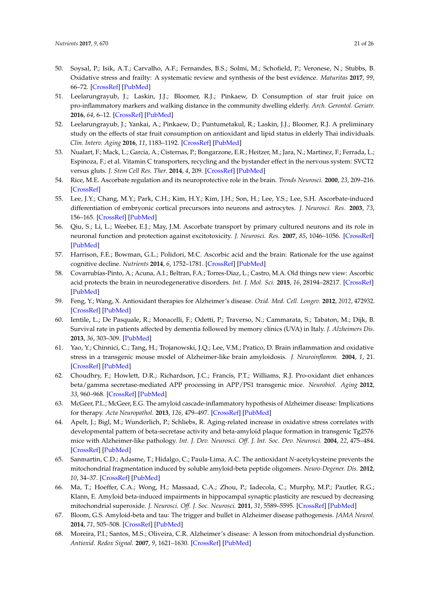- <span id="page-20-24"></span><span id="page-20-23"></span><span id="page-20-0"></span>50. Soysal, P.; Isik, A.T.; Carvalho, A.F.; Fernandes, B.S.; Solmi, M.; Schofield, P.; Veronese, N.; Stubbs, B. Oxidative stress and frailty: A systematic review and synthesis of the best evidence. *Maturitas* **2017**, *99*, 66–72. [\[CrossRef\]](http://dx.doi.org/10.1016/j.maturitas.2017.01.006) [\[PubMed\]](http://www.ncbi.nlm.nih.gov/pubmed/28364871)
- <span id="page-20-19"></span><span id="page-20-1"></span>51. Leelarungrayub, J.; Laskin, J.J.; Bloomer, R.J.; Pinkaew, D. Consumption of star fruit juice on pro-inflammatory markers and walking distance in the community dwelling elderly. *Arch. Gerontol. Geriatr.* **2016**, *64*, 6–12. [\[CrossRef\]](http://dx.doi.org/10.1016/j.archger.2015.12.001) [\[PubMed\]](http://www.ncbi.nlm.nih.gov/pubmed/26952371)
- <span id="page-20-2"></span>52. Leelarungrayub, J.; Yankai, A.; Pinkaew, D.; Puntumetakul, R.; Laskin, J.J.; Bloomer, R.J. A preliminary study on the effects of star fruit consumption on antioxidant and lipid status in elderly Thai individuals. *Clin. Interv. Aging* **2016**, *11*, 1183–1192. [\[CrossRef\]](http://dx.doi.org/10.2147/CIA.S110718) [\[PubMed\]](http://www.ncbi.nlm.nih.gov/pubmed/27621606)
- <span id="page-20-20"></span><span id="page-20-3"></span>53. Nualart, F.; Mack, L.; Garcia, A.; Cisternas, P.; Bongarzone, E.R.; Heitzer, M.; Jara, N.; Martinez, F.; Ferrada, L.; Espinoza, F.; et al. Vitamin C transporters, recycling and the bystander effect in the nervous system: SVCT2 versus gluts. *J. Stem Cell Res. Ther.* **2014**, *4*, 209. [\[CrossRef\]](http://dx.doi.org/10.4172/2157-7633.1000209) [\[PubMed\]](http://www.ncbi.nlm.nih.gov/pubmed/25110615)
- <span id="page-20-25"></span><span id="page-20-4"></span>54. Rice, M.E. Ascorbate regulation and its neuroprotective role in the brain. *Trends Neurosci.* **2000**, *23*, 209–216. [\[CrossRef\]](http://dx.doi.org/10.1016/S0166-2236(99)01543-X)
- <span id="page-20-21"></span><span id="page-20-5"></span>55. Lee, J.Y.; Chang, M.Y.; Park, C.H.; Kim, H.Y.; Kim, J.H.; Son, H.; Lee, Y.S.; Lee, S.H. Ascorbate-induced differentiation of embryonic cortical precursors into neurons and astrocytes. *J. Neurosci. Res.* **2003**, *73*, 156–165. [\[CrossRef\]](http://dx.doi.org/10.1002/jnr.10647) [\[PubMed\]](http://www.ncbi.nlm.nih.gov/pubmed/12836158)
- <span id="page-20-6"></span>56. Qiu, S.; Li, L.; Weeber, E.J.; May, J.M. Ascorbate transport by primary cultured neurons and its role in neuronal function and protection against excitotoxicity. *J. Neurosci. Res.* **2007**, *85*, 1046–1056. [\[CrossRef\]](http://dx.doi.org/10.1002/jnr.21204) [\[PubMed\]](http://www.ncbi.nlm.nih.gov/pubmed/17304569)
- <span id="page-20-7"></span>57. Harrison, F.E.; Bowman, G.L.; Polidori, M.C. Ascorbic acid and the brain: Rationale for the use against cognitive decline. *Nutrients* **2014**, *6*, 1752–1781. [\[CrossRef\]](http://dx.doi.org/10.3390/nu6041752) [\[PubMed\]](http://www.ncbi.nlm.nih.gov/pubmed/24763117)
- <span id="page-20-22"></span><span id="page-20-8"></span>58. Covarrubias-Pinto, A.; Acuna, A.I.; Beltran, F.A.; Torres-Diaz, L.; Castro, M.A. Old things new view: Ascorbic acid protects the brain in neurodegenerative disorders. *Int. J. Mol. Sci.* **2015**, *16*, 28194–28217. [\[CrossRef\]](http://dx.doi.org/10.3390/ijms161226095) [\[PubMed\]](http://www.ncbi.nlm.nih.gov/pubmed/26633354)
- <span id="page-20-9"></span>59. Feng, Y.; Wang, X. Antioxidant therapies for Alzheimer's disease. *Oxid. Med. Cell. Longev.* **2012**, *2012*, 472932. [\[CrossRef\]](http://dx.doi.org/10.1155/2012/472932) [\[PubMed\]](http://www.ncbi.nlm.nih.gov/pubmed/22888398)
- <span id="page-20-10"></span>60. Ientile, L.; De Pasquale, R.; Monacelli, F.; Odetti, P.; Traverso, N.; Cammarata, S.; Tabaton, M.; Dijk, B. Survival rate in patients affected by dementia followed by memory clinics (UVA) in Italy. *J. Alzheimers Dis.* **2013**, *36*, 303–309. [\[PubMed\]](http://www.ncbi.nlm.nih.gov/pubmed/23609761)
- <span id="page-20-11"></span>61. Yao, Y.; Chinnici, C.; Tang, H.; Trojanowski, J.Q.; Lee, V.M.; Pratico, D. Brain inflammation and oxidative stress in a transgenic mouse model of Alzheimer-like brain amyloidosis. *J. Neuroinflamm.* **2004**, *1*, 21. [\[CrossRef\]](http://dx.doi.org/10.1186/1742-2094-1-21) [\[PubMed\]](http://www.ncbi.nlm.nih.gov/pubmed/15500684)
- <span id="page-20-12"></span>62. Choudhry, F.; Howlett, D.R.; Richardson, J.C.; Francis, P.T.; Williams, R.J. Pro-oxidant diet enhances beta/gamma secretase-mediated APP processing in APP/PS1 transgenic mice. *Neurobiol. Aging* **2012**, *33*, 960–968. [\[CrossRef\]](http://dx.doi.org/10.1016/j.neurobiolaging.2010.07.008) [\[PubMed\]](http://www.ncbi.nlm.nih.gov/pubmed/20724034)
- <span id="page-20-13"></span>63. McGeer, P.L.; McGeer, E.G. The amyloid cascade-inflammatory hypothesis of Alzheimer disease: Implications for therapy. *Acta Neuropathol.* **2013**, *126*, 479–497. [\[CrossRef\]](http://dx.doi.org/10.1007/s00401-013-1177-7) [\[PubMed\]](http://www.ncbi.nlm.nih.gov/pubmed/24052108)
- <span id="page-20-14"></span>64. Apelt, J.; Bigl, M.; Wunderlich, P.; Schliebs, R. Aging-related increase in oxidative stress correlates with developmental pattern of beta-secretase activity and beta-amyloid plaque formation in transgenic Tg2576 mice with Alzheimer-like pathology. *Int. J. Dev. Neurosci. Off. J. Int. Soc. Dev. Neurosci.* **2004**, *22*, 475–484. [\[CrossRef\]](http://dx.doi.org/10.1016/j.ijdevneu.2004.07.006) [\[PubMed\]](http://www.ncbi.nlm.nih.gov/pubmed/15465277)
- <span id="page-20-15"></span>65. Sanmartin, C.D.; Adasme, T.; Hidalgo, C.; Paula-Lima, A.C. The antioxidant *N*-acetylcysteine prevents the mitochondrial fragmentation induced by soluble amyloid-beta peptide oligomers. *Neuro-Degener. Dis.* **2012**, *10*, 34–37. [\[CrossRef\]](http://dx.doi.org/10.1159/000334901) [\[PubMed\]](http://www.ncbi.nlm.nih.gov/pubmed/22286146)
- <span id="page-20-16"></span>66. Ma, T.; Hoeffer, C.A.; Wong, H.; Massaad, C.A.; Zhou, P.; Iadecola, C.; Murphy, M.P.; Pautler, R.G.; Klann, E. Amyloid beta-induced impairments in hippocampal synaptic plasticity are rescued by decreasing mitochondrial superoxide. *J. Neurosci. Off. J. Soc. Neurosci.* **2011**, *31*, 5589–5595. [\[CrossRef\]](http://dx.doi.org/10.1523/JNEUROSCI.6566-10.2011) [\[PubMed\]](http://www.ncbi.nlm.nih.gov/pubmed/21490199)
- <span id="page-20-17"></span>67. Bloom, G.S. Amyloid-beta and tau: The trigger and bullet in Alzheimer disease pathogenesis. *JAMA Neurol.* **2014**, *71*, 505–508. [\[CrossRef\]](http://dx.doi.org/10.1001/jamaneurol.2013.5847) [\[PubMed\]](http://www.ncbi.nlm.nih.gov/pubmed/24493463)
- <span id="page-20-18"></span>68. Moreira, P.I.; Santos, M.S.; Oliveira, C.R. Alzheimer's disease: A lesson from mitochondrial dysfunction. *Antioxid. Redox Signal.* **2007**, *9*, 1621–1630. [\[CrossRef\]](http://dx.doi.org/10.1089/ars.2007.1703) [\[PubMed\]](http://www.ncbi.nlm.nih.gov/pubmed/17678440)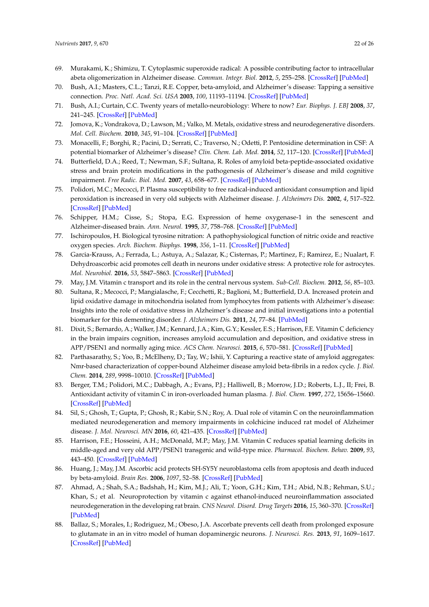- <span id="page-21-22"></span><span id="page-21-21"></span><span id="page-21-19"></span><span id="page-21-0"></span>69. Murakami, K.; Shimizu, T. Cytoplasmic superoxide radical: A possible contributing factor to intracellular abeta oligomerization in Alzheimer disease. *Commun. Integr. Biol.* **2012**, *5*, 255–258. [\[CrossRef\]](http://dx.doi.org/10.4161/cib.19548) [\[PubMed\]](http://www.ncbi.nlm.nih.gov/pubmed/22896786)
- <span id="page-21-1"></span>70. Bush, A.I.; Masters, C.L.; Tanzi, R.E. Copper, beta-amyloid, and Alzheimer's disease: Tapping a sensitive connection. *Proc. Natl. Acad. Sci. USA* **2003**, *100*, 11193–11194. [\[CrossRef\]](http://dx.doi.org/10.1073/pnas.2135061100) [\[PubMed\]](http://www.ncbi.nlm.nih.gov/pubmed/14506299)
- <span id="page-21-23"></span><span id="page-21-20"></span><span id="page-21-2"></span>71. Bush, A.I.; Curtain, C.C. Twenty years of metallo-neurobiology: Where to now? *Eur. Biophys. J. EBJ* **2008**, *37*, 241–245. [\[CrossRef\]](http://dx.doi.org/10.1007/s00249-007-0228-1) [\[PubMed\]](http://www.ncbi.nlm.nih.gov/pubmed/17994233)
- <span id="page-21-3"></span>72. Jomova, K.; Vondrakova, D.; Lawson, M.; Valko, M. Metals, oxidative stress and neurodegenerative disorders. *Mol. Cell. Biochem.* **2010**, *345*, 91–104. [\[CrossRef\]](http://dx.doi.org/10.1007/s11010-010-0563-x) [\[PubMed\]](http://www.ncbi.nlm.nih.gov/pubmed/20730621)
- <span id="page-21-12"></span><span id="page-21-4"></span>73. Monacelli, F.; Borghi, R.; Pacini, D.; Serrati, C.; Traverso, N.; Odetti, P. Pentosidine determination in CSF: A potential biomarker of Alzheimer's disease? *Clin. Chem. Lab. Med.* **2014**, *52*, 117–120. [\[CrossRef\]](http://dx.doi.org/10.1515/cclm-2012-0829) [\[PubMed\]](http://www.ncbi.nlm.nih.gov/pubmed/23612599)
- <span id="page-21-13"></span><span id="page-21-5"></span>74. Butterfield, D.A.; Reed, T.; Newman, S.F.; Sultana, R. Roles of amyloid beta-peptide-associated oxidative stress and brain protein modifications in the pathogenesis of Alzheimer's disease and mild cognitive impairment. *Free Radic. Biol. Med.* **2007**, *43*, 658–677. [\[CrossRef\]](http://dx.doi.org/10.1016/j.freeradbiomed.2007.05.037) [\[PubMed\]](http://www.ncbi.nlm.nih.gov/pubmed/17664130)
- <span id="page-21-14"></span><span id="page-21-6"></span>75. Polidori, M.C.; Mecocci, P. Plasma susceptibility to free radical-induced antioxidant consumption and lipid peroxidation is increased in very old subjects with Alzheimer disease. *J. Alzheimers Dis.* **2002**, *4*, 517–522. [\[CrossRef\]](http://dx.doi.org/10.3233/JAD-2002-4608) [\[PubMed\]](http://www.ncbi.nlm.nih.gov/pubmed/12629261)
- <span id="page-21-7"></span>76. Schipper, H.M.; Cisse, S.; Stopa, E.G. Expression of heme oxygenase-1 in the senescent and Alzheimer-diseased brain. *Ann. Neurol.* **1995**, *37*, 758–768. [\[CrossRef\]](http://dx.doi.org/10.1002/ana.410370609) [\[PubMed\]](http://www.ncbi.nlm.nih.gov/pubmed/7778849)
- <span id="page-21-8"></span>77. Ischiropoulos, H. Biological tyrosine nitration: A pathophysiological function of nitric oxide and reactive oxygen species. *Arch. Biochem. Biophys.* **1998**, *356*, 1–11. [\[CrossRef\]](http://dx.doi.org/10.1006/abbi.1998.0755) [\[PubMed\]](http://www.ncbi.nlm.nih.gov/pubmed/9681984)
- <span id="page-21-15"></span><span id="page-21-9"></span>78. Garcia-Krauss, A.; Ferrada, L.; Astuya, A.; Salazar, K.; Cisternas, P.; Martinez, F.; Ramirez, E.; Nualart, F. Dehydroascorbic acid promotes cell death in neurons under oxidative stress: A protective role for astrocytes. *Mol. Neurobiol.* **2016**, *53*, 5847–5863. [\[CrossRef\]](http://dx.doi.org/10.1007/s12035-015-9497-3) [\[PubMed\]](http://www.ncbi.nlm.nih.gov/pubmed/26497038)
- <span id="page-21-16"></span><span id="page-21-10"></span>79. May, J.M. Vitamin c transport and its role in the central nervous system. *Sub-Cell. Biochem.* **2012**, *56*, 85–103.
- <span id="page-21-17"></span><span id="page-21-11"></span>80. Sultana, R.; Mecocci, P.; Mangialasche, F.; Cecchetti, R.; Baglioni, M.; Butterfield, D.A. Increased protein and lipid oxidative damage in mitochondria isolated from lymphocytes from patients with Alzheimer's disease: Insights into the role of oxidative stress in Alzheimer's disease and initial investigations into a potential biomarker for this dementing disorder. *J. Alzheimers Dis.* **2011**, *24*, 77–84. [\[PubMed\]](http://www.ncbi.nlm.nih.gov/pubmed/21383494)
- <span id="page-21-27"></span><span id="page-21-18"></span>81. Dixit, S.; Bernardo, A.; Walker, J.M.; Kennard, J.A.; Kim, G.Y.; Kessler, E.S.; Harrison, F.E. Vitamin C deficiency in the brain impairs cognition, increases amyloid accumulation and deposition, and oxidative stress in APP/PSEN1 and normally aging mice. *ACS Chem. Neurosci.* **2015**, *6*, 570–581. [\[CrossRef\]](http://dx.doi.org/10.1021/cn500308h) [\[PubMed\]](http://www.ncbi.nlm.nih.gov/pubmed/25642732)
- <span id="page-21-28"></span>82. Parthasarathy, S.; Yoo, B.; McElheny, D.; Tay, W.; Ishii, Y. Capturing a reactive state of amyloid aggregates: Nmr-based characterization of copper-bound Alzheimer disease amyloid beta-fibrils in a redox cycle. *J. Biol. Chem.* **2014**, *289*, 9998–10010. [\[CrossRef\]](http://dx.doi.org/10.1074/jbc.M113.511345) [\[PubMed\]](http://www.ncbi.nlm.nih.gov/pubmed/24523414)
- <span id="page-21-29"></span>83. Berger, T.M.; Polidori, M.C.; Dabbagh, A.; Evans, P.J.; Halliwell, B.; Morrow, J.D.; Roberts, L.J., II; Frei, B. Antioxidant activity of vitamin C in iron-overloaded human plasma. *J. Biol. Chem.* **1997**, *272*, 15656–15660. [\[CrossRef\]](http://dx.doi.org/10.1074/jbc.272.25.15656) [\[PubMed\]](http://www.ncbi.nlm.nih.gov/pubmed/9188455)
- <span id="page-21-30"></span>84. Sil, S.; Ghosh, T.; Gupta, P.; Ghosh, R.; Kabir, S.N.; Roy, A. Dual role of vitamin C on the neuroinflammation mediated neurodegeneration and memory impairments in colchicine induced rat model of Alzheimer disease. *J. Mol. Neurosci. MN* **2016**, *60*, 421–435. [\[CrossRef\]](http://dx.doi.org/10.1007/s12031-016-0817-5) [\[PubMed\]](http://www.ncbi.nlm.nih.gov/pubmed/27665568)
- <span id="page-21-25"></span>85. Harrison, F.E.; Hosseini, A.H.; McDonald, M.P.; May, J.M. Vitamin C reduces spatial learning deficits in middle-aged and very old APP/PSEN1 transgenic and wild-type mice. *Pharmacol. Biochem. Behav.* **2009**, *93*, 443–450. [\[CrossRef\]](http://dx.doi.org/10.1016/j.pbb.2009.06.006) [\[PubMed\]](http://www.ncbi.nlm.nih.gov/pubmed/19539642)
- <span id="page-21-26"></span>86. Huang, J.; May, J.M. Ascorbic acid protects SH-SY5Y neuroblastoma cells from apoptosis and death induced by beta-amyloid. *Brain Res.* **2006**, *1097*, 52–58. [\[CrossRef\]](http://dx.doi.org/10.1016/j.brainres.2006.04.047) [\[PubMed\]](http://www.ncbi.nlm.nih.gov/pubmed/16725131)
- <span id="page-21-31"></span>87. Ahmad, A.; Shah, S.A.; Badshah, H.; Kim, M.J.; Ali, T.; Yoon, G.H.; Kim, T.H.; Abid, N.B.; Rehman, S.U.; Khan, S.; et al. Neuroprotection by vitamin c against ethanol-induced neuroinflammation associated neurodegeneration in the developing rat brain. *CNS Neurol. Disord. Drug Targets* **2016**, *15*, 360–370. [\[CrossRef\]](http://dx.doi.org/10.2174/1871527315666151110130139) [\[PubMed\]](http://www.ncbi.nlm.nih.gov/pubmed/26831257)
- <span id="page-21-24"></span>88. Ballaz, S.; Morales, I.; Rodriguez, M.; Obeso, J.A. Ascorbate prevents cell death from prolonged exposure to glutamate in an in vitro model of human dopaminergic neurons. *J. Neurosci. Res.* **2013**, *91*, 1609–1617. [\[CrossRef\]](http://dx.doi.org/10.1002/jnr.23276) [\[PubMed\]](http://www.ncbi.nlm.nih.gov/pubmed/23996657)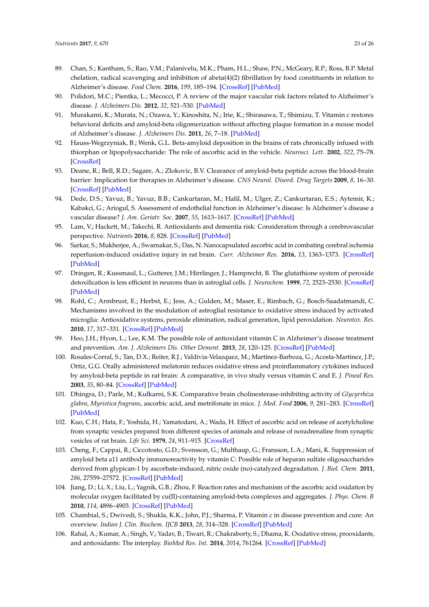- <span id="page-22-18"></span><span id="page-22-7"></span><span id="page-22-6"></span><span id="page-22-5"></span><span id="page-22-4"></span><span id="page-22-3"></span><span id="page-22-2"></span><span id="page-22-1"></span><span id="page-22-0"></span>89. Chan, S.; Kantham, S.; Rao, V.M.; Palanivelu, M.K.; Pham, H.L.; Shaw, P.N.; McGeary, R.P.; Ross, B.P. Metal chelation, radical scavenging and inhibition of abeta(4)(2) fibrillation by food constituents in relation to Alzheimer's disease. *Food Chem.* **2016**, *199*, 185–194. [\[CrossRef\]](http://dx.doi.org/10.1016/j.foodchem.2015.11.118) [\[PubMed\]](http://www.ncbi.nlm.nih.gov/pubmed/26775960)
- <span id="page-22-21"></span>90. Polidori, M.C.; Pientka, L.; Mecocci, P. A review of the major vascular risk factors related to Alzheimer's disease. *J. Alzheimers Dis.* **2012**, *32*, 521–530. [\[PubMed\]](http://www.ncbi.nlm.nih.gov/pubmed/22836188)
- <span id="page-22-20"></span>91. Murakami, K.; Murata, N.; Ozawa, Y.; Kinoshita, N.; Irie, K.; Shirasawa, T.; Shimizu, T. Vitamin c restores behavioral deficits and amyloid-beta oligomerization without affecting plaque formation in a mouse model of Alzheimer's disease. *J. Alzheimers Dis.* **2011**, *26*, 7–18. [\[PubMed\]](http://www.ncbi.nlm.nih.gov/pubmed/21558647)
- <span id="page-22-19"></span>92. Hauss-Wegrzyniak, B.; Wenk, G.L. Beta-amyloid deposition in the brains of rats chronically infused with thiorphan or lipopolysaccharide: The role of ascorbic acid in the vehicle. *Neurosci. Lett.* **2002**, *322*, 75–78. [\[CrossRef\]](http://dx.doi.org/10.1016/S0304-3940(02)00087-3)
- <span id="page-22-23"></span>93. Deane, R.; Bell, R.D.; Sagare, A.; Zlokovic, B.V. Clearance of amyloid-beta peptide across the blood-brain barrier: Implication for therapies in Alzheimer's disease. *CNS Neurol. Disord. Drug Targets* **2009**, *8*, 16–30. [\[CrossRef\]](http://dx.doi.org/10.2174/187152709787601867) [\[PubMed\]](http://www.ncbi.nlm.nih.gov/pubmed/19275634)
- <span id="page-22-22"></span>94. Dede, D.S.; Yavuz, B.; Yavuz, B.B.; Cankurtaran, M.; Halil, M.; Ulger, Z.; Cankurtaran, E.S.; Aytemir, K.; Kabakci, G.; Ariogul, S. Assessment of endothelial function in Alzheimer's disease: Is Alzheimer's disease a vascular disease? *J. Am. Geriatr. Soc.* **2007**, *55*, 1613–1617. [\[CrossRef\]](http://dx.doi.org/10.1111/j.1532-5415.2007.01378.x) [\[PubMed\]](http://www.ncbi.nlm.nih.gov/pubmed/17711428)
- <span id="page-22-24"></span>95. Lam, V.; Hackett, M.; Takechi, R. Antioxidants and dementia risk: Consideration through a cerebrovascular perspective. *Nutrients* **2016**, *8*, 828. [\[CrossRef\]](http://dx.doi.org/10.3390/nu8120828) [\[PubMed\]](http://www.ncbi.nlm.nih.gov/pubmed/27999412)
- <span id="page-22-25"></span>96. Sarkar, S.; Mukherjee, A.; Swarnakar, S.; Das, N. Nanocapsulated ascorbic acid in combating cerebral ischemia reperfusion-induced oxidative injury in rat brain. *Curr. Alzheimer Res.* **2016**, *13*, 1363–1373. [\[CrossRef\]](http://dx.doi.org/10.2174/1567205013666160625082839) [\[PubMed\]](http://www.ncbi.nlm.nih.gov/pubmed/27357647)
- <span id="page-22-8"></span>97. Dringen, R.; Kussmaul, L.; Gutterer, J.M.; Hirrlinger, J.; Hamprecht, B. The glutathione system of peroxide detoxification is less efficient in neurons than in astroglial cells. *J. Neurochem.* **1999**, *72*, 2523–2530. [\[CrossRef\]](http://dx.doi.org/10.1046/j.1471-4159.1999.0722523.x) [\[PubMed\]](http://www.ncbi.nlm.nih.gov/pubmed/10349863)
- <span id="page-22-9"></span>98. Rohl, C.; Armbrust, E.; Herbst, E.; Jess, A.; Gulden, M.; Maser, E.; Rimbach, G.; Bosch-Saadatmandi, C. Mechanisms involved in the modulation of astroglial resistance to oxidative stress induced by activated microglia: Antioxidative systems, peroxide elimination, radical generation, lipid peroxidation. *Neurotox. Res.* **2010**, *17*, 317–331. [\[CrossRef\]](http://dx.doi.org/10.1007/s12640-009-9108-z) [\[PubMed\]](http://www.ncbi.nlm.nih.gov/pubmed/19763738)
- <span id="page-22-10"></span>99. Heo, J.H.; Hyon, L.; Lee, K.M. The possible role of antioxidant vitamin C in Alzheimer's disease treatment and prevention. *Am. J. Alzheimers Dis. Other Dement.* **2013**, *28*, 120–125. [\[CrossRef\]](http://dx.doi.org/10.1177/1533317512473193) [\[PubMed\]](http://www.ncbi.nlm.nih.gov/pubmed/23307795)
- <span id="page-22-11"></span>100. Rosales-Corral, S.; Tan, D.X.; Reiter, R.J.; Valdivia-Velazquez, M.; Martinez-Barboza, G.; Acosta-Martinez, J.P.; Ortiz, G.G. Orally administered melatonin reduces oxidative stress and proinflammatory cytokines induced by amyloid-beta peptide in rat brain: A comparative, in vivo study versus vitamin C and E. *J. Pineal Res.* **2003**, *35*, 80–84. [\[CrossRef\]](http://dx.doi.org/10.1034/j.1600-079X.2003.00057.x) [\[PubMed\]](http://www.ncbi.nlm.nih.gov/pubmed/12887649)
- <span id="page-22-12"></span>101. Dhingra, D.; Parle, M.; Kulkarni, S.K. Comparative brain cholinesterase-inhibiting activity of *Glycyrrhiza glabra*, *Myristica fragrans*, ascorbic acid, and metrifonate in mice. *J. Med. Food* **2006**, *9*, 281–283. [\[CrossRef\]](http://dx.doi.org/10.1089/jmf.2006.9.281) [\[PubMed\]](http://www.ncbi.nlm.nih.gov/pubmed/16822217)
- <span id="page-22-13"></span>102. Kuo, C.H.; Hata, F.; Yoshida, H.; Yamatodani, A.; Wada, H. Effect of ascorbic acid on release of acetylcholine from synaptic vesicles prepared from different species of animals and release of noradrenaline from synaptic vesicles of rat brain. *Life Sci.* **1979**, *24*, 911–915. [\[CrossRef\]](http://dx.doi.org/10.1016/0024-3205(79)90341-2)
- <span id="page-22-14"></span>103. Cheng, F.; Cappai, R.; Ciccotosto, G.D.; Svensson, G.; Multhaup, G.; Fransson, L.A.; Mani, K. Suppression of amyloid beta a11 antibody immunoreactivity by vitamin C: Possible role of heparan sulfate oligosaccharides derived from glypican-1 by ascorbate-induced, nitric oxide (no)-catalyzed degradation. *J. Biol. Chem.* **2011**, *286*, 27559–27572. [\[CrossRef\]](http://dx.doi.org/10.1074/jbc.M111.243345) [\[PubMed\]](http://www.ncbi.nlm.nih.gov/pubmed/21642435)
- <span id="page-22-15"></span>104. Jiang, D.; Li, X.; Liu, L.; Yagnik, G.B.; Zhou, F. Reaction rates and mechanism of the ascorbic acid oxidation by molecular oxygen facilitated by cu(II)-containing amyloid-beta complexes and aggregates. *J. Phys. Chem. B* **2010**, *114*, 4896–4903. [\[CrossRef\]](http://dx.doi.org/10.1021/jp9095375) [\[PubMed\]](http://www.ncbi.nlm.nih.gov/pubmed/20302320)
- <span id="page-22-16"></span>105. Chambial, S.; Dwivedi, S.; Shukla, K.K.; John, P.J.; Sharma, P. Vitamin c in disease prevention and cure: An overview. *Indian J. Clin. Biochem. IJCB* **2013**, *28*, 314–328. [\[CrossRef\]](http://dx.doi.org/10.1007/s12291-013-0375-3) [\[PubMed\]](http://www.ncbi.nlm.nih.gov/pubmed/24426232)
- <span id="page-22-17"></span>106. Rahal, A.; Kumar, A.; Singh, V.; Yadav, B.; Tiwari, R.; Chakraborty, S.; Dhama, K. Oxidative stress, prooxidants, and antioxidants: The interplay. *BioMed Res. Int.* **2014**, *2014*, 761264. [\[CrossRef\]](http://dx.doi.org/10.1155/2014/761264) [\[PubMed\]](http://www.ncbi.nlm.nih.gov/pubmed/24587990)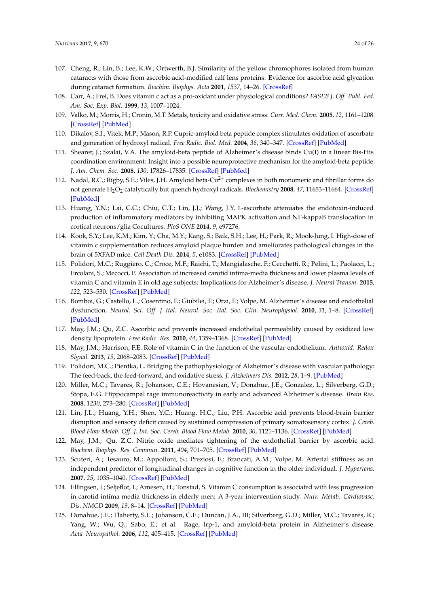- <span id="page-23-0"></span>107. Cheng, R.; Lin, B.; Lee, K.W.; Ortwerth, B.J. Similarity of the yellow chromophores isolated from human cataracts with those from ascorbic acid-modified calf lens proteins: Evidence for ascorbic acid glycation during cataract formation. *Biochim. Biophys. Acta* **2001**, *1537*, 14–26. [\[CrossRef\]](http://dx.doi.org/10.1016/S0925-4439(01)00051-5)
- <span id="page-23-1"></span>108. Carr, A.; Frei, B. Does vitamin c act as a pro-oxidant under physiological conditions? *FASEB J. Off. Publ. Fed. Am. Soc. Exp. Biol.* **1999**, *13*, 1007–1024.
- <span id="page-23-2"></span>109. Valko, M.; Morris, H.; Cronin, M.T. Metals, toxicity and oxidative stress. *Curr. Med. Chem.* **2005**, *12*, 1161–1208. [\[CrossRef\]](http://dx.doi.org/10.2174/0929867053764635) [\[PubMed\]](http://www.ncbi.nlm.nih.gov/pubmed/15892631)
- <span id="page-23-3"></span>110. Dikalov, S.I.; Vitek, M.P.; Mason, R.P. Cupric-amyloid beta peptide complex stimulates oxidation of ascorbate and generation of hydroxyl radical. *Free Radic. Biol. Med.* **2004**, *36*, 340–347. [\[CrossRef\]](http://dx.doi.org/10.1016/j.freeradbiomed.2003.11.004) [\[PubMed\]](http://www.ncbi.nlm.nih.gov/pubmed/15036353)
- <span id="page-23-4"></span>111. Shearer, J.; Szalai, V.A. The amyloid-beta peptide of Alzheimer's disease binds Cu(I) in a linear Bis-His coordination environment: Insight into a possible neuroprotective mechanism for the amyloid-beta peptide. *J. Am. Chem. Soc.* **2008**, *130*, 17826–17835. [\[CrossRef\]](http://dx.doi.org/10.1021/ja805940m) [\[PubMed\]](http://www.ncbi.nlm.nih.gov/pubmed/19035781)
- <span id="page-23-5"></span>112. Nadal, R.C.; Rigby, S.E.; Viles, J.H. Amyloid beta-Cu<sup>2+</sup> complexes in both monomeric and fibrillar forms do not generate H2O<sup>2</sup> catalytically but quench hydroxyl radicals. *Biochemistry* **2008**, *47*, 11653–11664. [\[CrossRef\]](http://dx.doi.org/10.1021/bi8011093) [\[PubMed\]](http://www.ncbi.nlm.nih.gov/pubmed/18847222)
- <span id="page-23-6"></span>113. Huang, Y.N.; Lai, C.C.; Chiu, C.T.; Lin, J.J.; Wang, J.Y. L-ascorbate attenuates the endotoxin-induced production of inflammatory mediators by inhibiting MAPK activation and NF-kappaB translocation in cortical neurons/glia Cocultures. *PloS ONE* **2014**, *9*, e97276.
- <span id="page-23-7"></span>114. Kook, S.Y.; Lee, K.M.; Kim, Y.; Cha, M.Y.; Kang, S.; Baik, S.H.; Lee, H.; Park, R.; Mook-Jung, I. High-dose of vitamin c supplementation reduces amyloid plaque burden and ameliorates pathological changes in the brain of 5XFAD mice. *Cell Death Dis.* **2014**, *5*, e1083. [\[CrossRef\]](http://dx.doi.org/10.1038/cddis.2014.26) [\[PubMed\]](http://www.ncbi.nlm.nih.gov/pubmed/24577081)
- <span id="page-23-8"></span>115. Polidori, M.C.; Ruggiero, C.; Croce, M.F.; Raichi, T.; Mangialasche, F.; Cecchetti, R.; Pelini, L.; Paolacci, L.; Ercolani, S.; Mecocci, P. Association of increased carotid intima-media thickness and lower plasma levels of vitamin C and vitamin E in old age subjects: Implications for Alzheimer's disease. *J. Neural Transm.* **2015**, *122*, 523–530. [\[CrossRef\]](http://dx.doi.org/10.1007/s00702-014-1357-1) [\[PubMed\]](http://www.ncbi.nlm.nih.gov/pubmed/25585970)
- <span id="page-23-9"></span>116. Bomboi, G.; Castello, L.; Cosentino, F.; Giubilei, F.; Orzi, F.; Volpe, M. Alzheimer's disease and endothelial dysfunction. *Neurol. Sci. Off. J. Ital. Neurol. Soc. Ital. Soc. Clin. Neurophysiol.* **2010**, *31*, 1–8. [\[CrossRef\]](http://dx.doi.org/10.1007/s10072-009-0151-6) [\[PubMed\]](http://www.ncbi.nlm.nih.gov/pubmed/19838624)
- <span id="page-23-16"></span>117. May, J.M.; Qu, Z.C. Ascorbic acid prevents increased endothelial permeability caused by oxidized low density lipoprotein. *Free Radic. Res.* **2010**, *44*, 1359–1368. [\[CrossRef\]](http://dx.doi.org/10.3109/10715762.2010.508496) [\[PubMed\]](http://www.ncbi.nlm.nih.gov/pubmed/20815791)
- 118. May, J.M.; Harrison, F.E. Role of vitamin C in the function of the vascular endothelium. *Antioxid. Redox Signal.* **2013**, *19*, 2068–2083. [\[CrossRef\]](http://dx.doi.org/10.1089/ars.2013.5205) [\[PubMed\]](http://www.ncbi.nlm.nih.gov/pubmed/23581713)
- <span id="page-23-10"></span>119. Polidori, M.C.; Pientka, L. Bridging the pathophysiology of Alzheimer's disease with vascular pathology: The feed-back, the feed-forward, and oxidative stress. *J. Alzheimers Dis.* **2012**, *28*, 1–9. [\[PubMed\]](http://www.ncbi.nlm.nih.gov/pubmed/22002788)
- <span id="page-23-11"></span>120. Miller, M.C.; Tavares, R.; Johanson, C.E.; Hovanesian, V.; Donahue, J.E.; Gonzalez, L.; Silverberg, G.D.; Stopa, E.G. Hippocampal rage immunoreactivity in early and advanced Alzheimer's disease. *Brain Res.* **2008**, *1230*, 273–280. [\[CrossRef\]](http://dx.doi.org/10.1016/j.brainres.2008.06.124) [\[PubMed\]](http://www.ncbi.nlm.nih.gov/pubmed/18657529)
- 121. Lin, J.L.; Huang, Y.H.; Shen, Y.C.; Huang, H.C.; Liu, P.H. Ascorbic acid prevents blood-brain barrier disruption and sensory deficit caused by sustained compression of primary somatosensory cortex. *J. Cereb. Blood Flow Metab. Off. J. Int. Soc. Cereb. Blood Flow Metab.* **2010**, *30*, 1121–1136. [\[CrossRef\]](http://dx.doi.org/10.1038/jcbfm.2009.277) [\[PubMed\]](http://www.ncbi.nlm.nih.gov/pubmed/20051973)
- <span id="page-23-12"></span>122. May, J.M.; Qu, Z.C. Nitric oxide mediates tightening of the endothelial barrier by ascorbic acid. *Biochem. Biophys. Res. Commun.* **2011**, *404*, 701–705. [\[CrossRef\]](http://dx.doi.org/10.1016/j.bbrc.2010.12.046) [\[PubMed\]](http://www.ncbi.nlm.nih.gov/pubmed/21156160)
- <span id="page-23-13"></span>123. Scuteri, A.; Tesauro, M.; Appolloni, S.; Preziosi, F.; Brancati, A.M.; Volpe, M. Arterial stiffness as an independent predictor of longitudinal changes in cognitive function in the older individual. *J. Hypertens.* **2007**, *25*, 1035–1040. [\[CrossRef\]](http://dx.doi.org/10.1097/HJH.0b013e3280895b55) [\[PubMed\]](http://www.ncbi.nlm.nih.gov/pubmed/17414668)
- <span id="page-23-14"></span>124. Ellingsen, I.; Seljeflot, I.; Arnesen, H.; Tonstad, S. Vitamin C consumption is associated with less progression in carotid intima media thickness in elderly men: A 3-year intervention study. *Nutr. Metab. Cardiovasc. Dis. NMCD* **2009**, *19*, 8–14. [\[CrossRef\]](http://dx.doi.org/10.1016/j.numecd.2008.01.006) [\[PubMed\]](http://www.ncbi.nlm.nih.gov/pubmed/18472409)
- <span id="page-23-15"></span>125. Donahue, J.E.; Flaherty, S.L.; Johanson, C.E.; Duncan, J.A., III; Silverberg, G.D.; Miller, M.C.; Tavares, R.; Yang, W.; Wu, Q.; Sabo, E.; et al. Rage, lrp-1, and amyloid-beta protein in Alzheimer's disease. *Acta Neuropathol.* **2006**, *112*, 405–415. [\[CrossRef\]](http://dx.doi.org/10.1007/s00401-006-0115-3) [\[PubMed\]](http://www.ncbi.nlm.nih.gov/pubmed/16865397)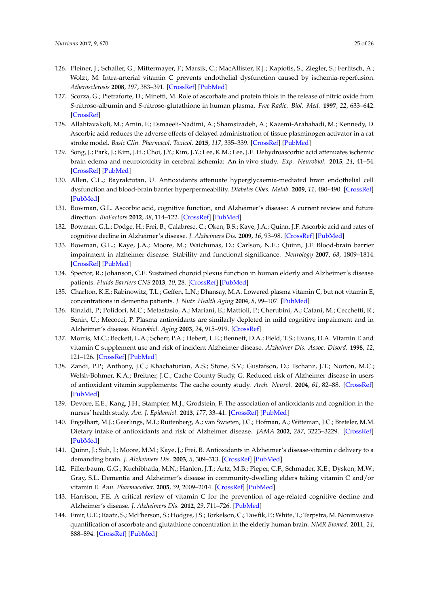- <span id="page-24-0"></span>126. Pleiner, J.; Schaller, G.; Mittermayer, F.; Marsik, C.; MacAllister, R.J.; Kapiotis, S.; Ziegler, S.; Ferlitsch, A.; Wolzt, M. Intra-arterial vitamin C prevents endothelial dysfunction caused by ischemia-reperfusion. *Atherosclerosis* **2008**, *197*, 383–391. [\[CrossRef\]](http://dx.doi.org/10.1016/j.atherosclerosis.2007.06.011) [\[PubMed\]](http://www.ncbi.nlm.nih.gov/pubmed/17645881)
- <span id="page-24-1"></span>127. Scorza, G.; Pietraforte, D.; Minetti, M. Role of ascorbate and protein thiols in the release of nitric oxide from *S*-nitroso-albumin and *S*-nitroso-glutathione in human plasma. *Free Radic. Biol. Med.* **1997**, *22*, 633–642. [\[CrossRef\]](http://dx.doi.org/10.1016/S0891-5849(96)00378-4)
- <span id="page-24-2"></span>128. Allahtavakoli, M.; Amin, F.; Esmaeeli-Nadimi, A.; Shamsizadeh, A.; Kazemi-Arababadi, M.; Kennedy, D. Ascorbic acid reduces the adverse effects of delayed administration of tissue plasminogen activator in a rat stroke model. *Basic Clin. Pharmacol. Toxicol.* **2015**, *117*, 335–339. [\[CrossRef\]](http://dx.doi.org/10.1111/bcpt.12413) [\[PubMed\]](http://www.ncbi.nlm.nih.gov/pubmed/25899606)
- <span id="page-24-3"></span>129. Song, J.; Park, J.; Kim, J.H.; Choi, J.Y.; Kim, J.Y.; Lee, K.M.; Lee, J.E. Dehydroascorbic acid attenuates ischemic brain edema and neurotoxicity in cerebral ischemia: An in vivo study. *Exp. Neurobiol.* **2015**, *24*, 41–54. [\[CrossRef\]](http://dx.doi.org/10.5607/en.2015.24.1.41) [\[PubMed\]](http://www.ncbi.nlm.nih.gov/pubmed/25792869)
- <span id="page-24-4"></span>130. Allen, C.L.; Bayraktutan, U. Antioxidants attenuate hyperglycaemia-mediated brain endothelial cell dysfunction and blood-brain barrier hyperpermeability. *Diabetes Obes. Metab.* **2009**, *11*, 480–490. [\[CrossRef\]](http://dx.doi.org/10.1111/j.1463-1326.2008.00987.x) [\[PubMed\]](http://www.ncbi.nlm.nih.gov/pubmed/19236439)
- <span id="page-24-5"></span>131. Bowman, G.L. Ascorbic acid, cognitive function, and Alzheimer's disease: A current review and future direction. *BioFactors* **2012**, *38*, 114–122. [\[CrossRef\]](http://dx.doi.org/10.1002/biof.1002) [\[PubMed\]](http://www.ncbi.nlm.nih.gov/pubmed/22419527)
- 132. Bowman, G.L.; Dodge, H.; Frei, B.; Calabrese, C.; Oken, B.S.; Kaye, J.A.; Quinn, J.F. Ascorbic acid and rates of cognitive decline in Alzheimer's disease. *J. Alzheimers Dis.* **2009**, *16*, 93–98. [\[CrossRef\]](http://dx.doi.org/10.3233/JAD-2009-0923) [\[PubMed\]](http://www.ncbi.nlm.nih.gov/pubmed/19158425)
- <span id="page-24-6"></span>133. Bowman, G.L.; Kaye, J.A.; Moore, M.; Waichunas, D.; Carlson, N.E.; Quinn, J.F. Blood-brain barrier impairment in alzheimer disease: Stability and functional significance. *Neurology* **2007**, *68*, 1809–1814. [\[CrossRef\]](http://dx.doi.org/10.1212/01.wnl.0000262031.18018.1a) [\[PubMed\]](http://www.ncbi.nlm.nih.gov/pubmed/17515542)
- <span id="page-24-7"></span>134. Spector, R.; Johanson, C.E. Sustained choroid plexus function in human elderly and Alzheimer's disease patients. *Fluids Barriers CNS* **2013**, *10*, 28. [\[CrossRef\]](http://dx.doi.org/10.1186/2045-8118-10-28) [\[PubMed\]](http://www.ncbi.nlm.nih.gov/pubmed/24059870)
- <span id="page-24-8"></span>135. Charlton, K.E.; Rabinowitz, T.L.; Geffen, L.N.; Dhansay, M.A. Lowered plasma vitamin C, but not vitamin E, concentrations in dementia patients. *J. Nutr. Health Aging* **2004**, *8*, 99–107. [\[PubMed\]](http://www.ncbi.nlm.nih.gov/pubmed/14978605)
- <span id="page-24-9"></span>136. Rinaldi, P.; Polidori, M.C.; Metastasio, A.; Mariani, E.; Mattioli, P.; Cherubini, A.; Catani, M.; Cecchetti, R.; Senin, U.; Mecocci, P. Plasma antioxidants are similarly depleted in mild cognitive impairment and in Alzheimer's disease. *Neurobiol. Aging* **2003**, *24*, 915–919. [\[CrossRef\]](http://dx.doi.org/10.1016/S0197-4580(03)00031-9)
- <span id="page-24-10"></span>137. Morris, M.C.; Beckett, L.A.; Scherr, P.A.; Hebert, L.E.; Bennett, D.A.; Field, T.S.; Evans, D.A. Vitamin E and vitamin C supplement use and risk of incident Alzheimer disease. *Alzheimer Dis. Assoc. Disord.* **1998**, *12*, 121–126. [\[CrossRef\]](http://dx.doi.org/10.1097/00002093-199809000-00001) [\[PubMed\]](http://www.ncbi.nlm.nih.gov/pubmed/9772012)
- <span id="page-24-11"></span>138. Zandi, P.P.; Anthony, J.C.; Khachaturian, A.S.; Stone, S.V.; Gustafson, D.; Tschanz, J.T.; Norton, M.C.; Welsh-Bohmer, K.A.; Breitner, J.C.; Cache County Study, G. Reduced risk of Alzheimer disease in users of antioxidant vitamin supplements: The cache county study. *Arch. Neurol.* **2004**, *61*, 82–88. [\[CrossRef\]](http://dx.doi.org/10.1001/archneur.61.1.82) [\[PubMed\]](http://www.ncbi.nlm.nih.gov/pubmed/14732624)
- <span id="page-24-12"></span>139. Devore, E.E.; Kang, J.H.; Stampfer, M.J.; Grodstein, F. The association of antioxidants and cognition in the nurses' health study. *Am. J. Epidemiol.* **2013**, *177*, 33–41. [\[CrossRef\]](http://dx.doi.org/10.1093/aje/kws202) [\[PubMed\]](http://www.ncbi.nlm.nih.gov/pubmed/23221724)
- <span id="page-24-13"></span>140. Engelhart, M.J.; Geerlings, M.I.; Ruitenberg, A.; van Swieten, J.C.; Hofman, A.; Witteman, J.C.; Breteler, M.M. Dietary intake of antioxidants and risk of Alzheimer disease. *JAMA* **2002**, *287*, 3223–3229. [\[CrossRef\]](http://dx.doi.org/10.1001/jama.287.24.3223) [\[PubMed\]](http://www.ncbi.nlm.nih.gov/pubmed/12076218)
- <span id="page-24-14"></span>141. Quinn, J.; Suh, J.; Moore, M.M.; Kaye, J.; Frei, B. Antioxidants in Alzheimer's disease-vitamin c delivery to a demanding brain. *J. Alzheimers Dis.* **2003**, *5*, 309–313. [\[CrossRef\]](http://dx.doi.org/10.3233/JAD-2003-5406) [\[PubMed\]](http://www.ncbi.nlm.nih.gov/pubmed/14624026)
- <span id="page-24-15"></span>142. Fillenbaum, G.G.; Kuchibhatla, M.N.; Hanlon, J.T.; Artz, M.B.; Pieper, C.F.; Schmader, K.E.; Dysken, M.W.; Gray, S.L. Dementia and Alzheimer's disease in community-dwelling elders taking vitamin C and/or vitamin E. *Ann. Pharmacother.* **2005**, *39*, 2009–2014. [\[CrossRef\]](http://dx.doi.org/10.1345/aph.1G280) [\[PubMed\]](http://www.ncbi.nlm.nih.gov/pubmed/16227448)
- <span id="page-24-16"></span>143. Harrison, F.E. A critical review of vitamin C for the prevention of age-related cognitive decline and Alzheimer's disease. *J. Alzheimers Dis.* **2012**, *29*, 711–726. [\[PubMed\]](http://www.ncbi.nlm.nih.gov/pubmed/22366772)
- <span id="page-24-17"></span>144. Emir, U.E.; Raatz, S.; McPherson, S.; Hodges, J.S.; Torkelson, C.; Tawfik, P.; White, T.; Terpstra, M. Noninvasive quantification of ascorbate and glutathione concentration in the elderly human brain. *NMR Biomed.* **2011**, *24*, 888–894. [\[CrossRef\]](http://dx.doi.org/10.1002/nbm.1646) [\[PubMed\]](http://www.ncbi.nlm.nih.gov/pubmed/21834011)